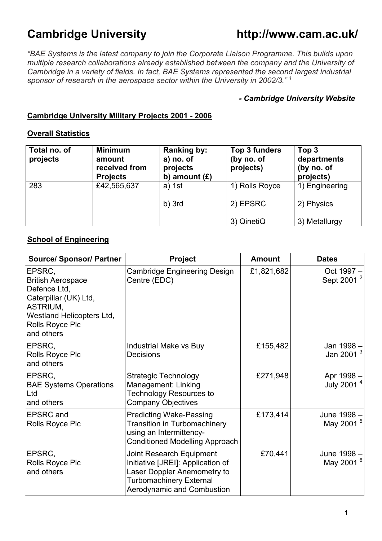# **Cambridge University http://www.cam.ac.uk/**

*"BAE Systems is the latest company to join the Corporate Liaison Programme. This builds upon multiple research collaborations already established between the company and the University of Cambridge in a variety of fields. In fact, BAE Systems represented the second largest industrial sponsor of research in the aerospace sector within the University in 2002/3." <sup>1</sup>*

#### *- Cambridge University Website*

## **Cambridge University Military Projects 2001 - 2006**

#### **Overall Statistics**

| Total no. of<br>projects | <b>Minimum</b><br>amount<br>received from<br><b>Projects</b> | Ranking by:<br>a) no. of<br>projects<br>b) amount $(E)$ | Top 3 funders<br>(by no. of<br>projects) | Top 3<br>departments<br>(by no. of<br>projects) |
|--------------------------|--------------------------------------------------------------|---------------------------------------------------------|------------------------------------------|-------------------------------------------------|
| 283                      | £42,565,637                                                  | $a)$ 1st                                                | 1) Rolls Royce                           | 1) Engineering                                  |
|                          |                                                              | $b)$ 3rd                                                | 2) EPSRC                                 | 2) Physics                                      |
|                          |                                                              |                                                         | 3) QinetiQ                               | 3) Metallurgy                                   |

## **School of Engineering**

| <b>Source/ Sponsor/ Partner</b>                                                                                                                              | Project                                                                                                                                                      | <b>Amount</b> | <b>Dates</b>                         |
|--------------------------------------------------------------------------------------------------------------------------------------------------------------|--------------------------------------------------------------------------------------------------------------------------------------------------------------|---------------|--------------------------------------|
| EPSRC,<br><b>British Aerospace</b><br>Defence Ltd,<br>Caterpillar (UK) Ltd,<br>ASTRIUM,<br><b>Westland Helicopters Ltd,</b><br>Rolls Royce Plc<br>and others | <b>Cambridge Engineering Design</b><br>Centre (EDC)                                                                                                          | £1,821,682    | Oct 1997 -<br>Sept 2001 <sup>2</sup> |
| EPSRC,<br>Rolls Royce Plc<br>and others                                                                                                                      | Industrial Make vs Buy<br>Decisions                                                                                                                          | £155,482      | Jan 1998 -<br>Jan 2001 $3$           |
| EPSRC,<br><b>BAE Systems Operations</b><br>Ltd<br>and others                                                                                                 | <b>Strategic Technology</b><br>Management: Linking<br><b>Technology Resources to</b><br><b>Company Objectives</b>                                            | £271,948      | Apr 1998 -<br>July 2001 <sup>4</sup> |
| <b>EPSRC</b> and<br>Rolls Royce Plc                                                                                                                          | <b>Predicting Wake-Passing</b><br><b>Transition in Turbomachinery</b><br>using an Intermittency-<br><b>Conditioned Modelling Approach</b>                    | £173,414      | June 1998 -<br>May 2001 <sup>5</sup> |
| EPSRC,<br>Rolls Royce Plc<br>and others                                                                                                                      | Joint Research Equipment<br>Initiative [JREI]: Application of<br>Laser Doppler Anemometry to<br><b>Turbomachinery External</b><br>Aerodynamic and Combustion | £70,441       | June 1998 -<br>May 2001 <sup>6</sup> |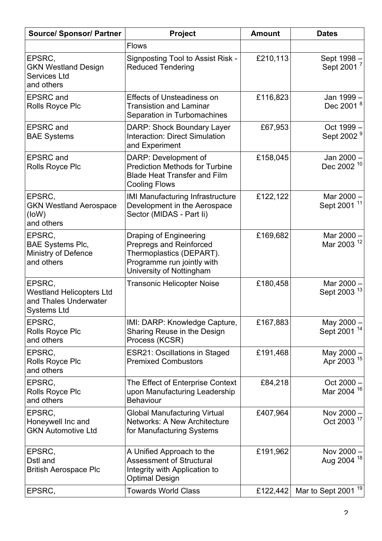| <b>Source/ Sponsor/ Partner</b>                                                          | <b>Project</b>                                                                                                                                 | <b>Amount</b> | <b>Dates</b>                           |
|------------------------------------------------------------------------------------------|------------------------------------------------------------------------------------------------------------------------------------------------|---------------|----------------------------------------|
|                                                                                          | <b>Flows</b>                                                                                                                                   |               |                                        |
| EPSRC,<br><b>GKN Westland Design</b><br><b>Services Ltd</b><br>and others                | Signposting Tool to Assist Risk -<br><b>Reduced Tendering</b>                                                                                  | £210,113      | Sept 1998 -<br>Sept 2001 <sup>7</sup>  |
| <b>EPSRC</b> and<br>Rolls Royce Plc                                                      | <b>Effects of Unsteadiness on</b><br><b>Transistion and Laminar</b><br>Separation in Turbomachines                                             | £116,823      | Jan 1999 -<br>Dec 2001 <sup>8</sup>    |
| <b>EPSRC</b> and<br><b>BAE Systems</b>                                                   | DARP: Shock Boundary Layer<br><b>Interaction: Direct Simulation</b><br>and Experiment                                                          | £67,953       | Oct 1999 -<br>Sept 2002 <sup>9</sup>   |
| <b>EPSRC</b> and<br>Rolls Royce Plc                                                      | DARP: Development of<br><b>Prediction Methods for Turbine</b><br><b>Blade Heat Transfer and Film</b><br><b>Cooling Flows</b>                   | £158,045      | Jan 2000 -<br>Dec 2002 <sup>10</sup>   |
| EPSRC,<br><b>GKN Westland Aerospace</b><br>(loW)<br>and others                           | <b>IMI Manufacturing Infrastructure</b><br>Development in the Aerospace<br>Sector (MIDAS - Part li)                                            | £122,122      | Mar 2000 -<br>Sept 2001 <sup>11</sup>  |
| EPSRC,<br><b>BAE Systems Plc,</b><br>Ministry of Defence<br>and others                   | Draping of Engineering<br><b>Prepregs and Reinforced</b><br>Thermoplastics (DEPART).<br>Programme run jointly with<br>University of Nottingham | £169,682      | Mar 2000 -<br>Mar 2003 <sup>12</sup>   |
| EPSRC,<br><b>Westland Helicopters Ltd</b><br>and Thales Underwater<br><b>Systems Ltd</b> | <b>Transonic Helicopter Noise</b>                                                                                                              | £180,458      | Mar 2000 -<br>Sept 2003 <sup>13</sup>  |
| EPSRC,<br>Rolls Royce Plc<br>and others                                                  | IMI: DARP: Knowledge Capture,<br>Sharing Reuse in the Design<br>Process (KCSR)                                                                 | £167,883      | May 2000 -<br>Sept 2001 <sup>14</sup>  |
| EPSRC,<br>Rolls Royce Plc<br>and others                                                  | <b>ESR21: Oscillations in Staged</b><br><b>Premixed Combustors</b>                                                                             | £191,468      | May 2000 -<br>Apr 2003 <sup>15</sup>   |
| EPSRC,<br>Rolls Royce Plc<br>and others                                                  | The Effect of Enterprise Context<br>upon Manufacturing Leadership<br><b>Behaviour</b>                                                          | £84,218       | Oct $2000 -$<br>Mar 2004 <sup>16</sup> |
| EPSRC,<br>Honeywell Inc and<br><b>GKN Automotive Ltd</b>                                 | <b>Global Manufacturing Virtual</b><br><b>Networks: A New Architecture</b><br>for Manufacturing Systems                                        | £407,964      | Nov 2000 -<br>Oct 2003 <sup>17</sup>   |
| EPSRC,<br>Dstl and<br><b>British Aerospace Plc</b>                                       | A Unified Approach to the<br><b>Assessment of Structural</b><br>Integrity with Application to<br>Optimal Design                                | £191,962      | Nov 2000 -<br>Aug 2004 <sup>18</sup>   |
| EPSRC,                                                                                   | <b>Towards World Class</b>                                                                                                                     | £122,442      | Mar to Sept 2001 <sup>19</sup>         |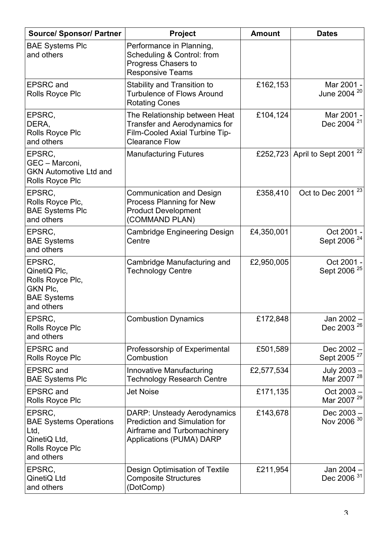| <b>Source/ Sponsor/ Partner</b>                                                                  | Project                                                                                                                                      | <b>Amount</b> | <b>Dates</b>                              |
|--------------------------------------------------------------------------------------------------|----------------------------------------------------------------------------------------------------------------------------------------------|---------------|-------------------------------------------|
| <b>BAE Systems Plc</b><br>and others                                                             | Performance in Planning,<br>Scheduling & Control: from<br>Progress Chasers to<br><b>Responsive Teams</b>                                     |               |                                           |
| <b>EPSRC</b> and<br>Rolls Royce Plc                                                              | <b>Stability and Transition to</b><br><b>Turbulence of Flows Around</b><br><b>Rotating Cones</b>                                             | £162,153      | Mar 2001 -<br>June 2004 <sup>20</sup>     |
| EPSRC,<br>DERA,<br>Rolls Royce Plc<br>and others                                                 | The Relationship between Heat<br><b>Transfer and Aerodynamics for</b><br>Film-Cooled Axial Turbine Tip-<br><b>Clearance Flow</b>             | £104,124      | Mar 2001 -<br>Dec 2004 <sup>21</sup>      |
| EPSRC,<br>GEC - Marconi,<br><b>GKN Automotive Ltd and</b><br>Rolls Royce Plc                     | <b>Manufacturing Futures</b>                                                                                                                 |               | £252,723 April to Sept 2001 <sup>22</sup> |
| EPSRC,<br>Rolls Royce Plc,<br><b>BAE Systems Plc</b><br>and others                               | <b>Communication and Design</b><br>Process Planning for New<br><b>Product Development</b><br>(COMMAND PLAN)                                  | £358,410      | Oct to Dec 2001 <sup>23</sup>             |
| EPSRC,<br><b>BAE Systems</b><br>and others                                                       | Cambridge Engineering Design<br>Centre                                                                                                       | £4,350,001    | Oct 2001 -<br>Sept 2006 <sup>24</sup>     |
| EPSRC,<br>QinetiQ Plc,<br>Rolls Royce Plc,<br>GKN Plc,<br><b>BAE Systems</b><br>and others       | Cambridge Manufacturing and<br><b>Technology Centre</b>                                                                                      | £2,950,005    | Oct 2001 -<br>Sept 2006 <sup>25</sup>     |
| EPSRC,<br>Rolls Royce Plc<br>and others                                                          | <b>Combustion Dynamics</b>                                                                                                                   | £172,848      | Jan 2002 -<br>Dec 2003 <sup>26</sup>      |
| <b>EPSRC</b> and<br>Rolls Royce Plc                                                              | Professorship of Experimental<br>Combustion                                                                                                  | £501,589      | Dec $2002 -$<br>Sept 2005 <sup>27</sup>   |
| <b>EPSRC</b> and<br><b>BAE Systems Plc</b>                                                       | Innovative Manufacturing<br><b>Technology Research Centre</b>                                                                                | £2,577,534    | July 2003 -<br>Mar 2007 <sup>28</sup>     |
| <b>EPSRC</b> and<br>Rolls Royce Plc                                                              | <b>Jet Noise</b>                                                                                                                             | £171,135      | $Oct 2003 -$<br>Mar 2007 <sup>29</sup>    |
| EPSRC,<br><b>BAE Systems Operations</b><br>Ltd,<br>QinetiQ Ltd,<br>Rolls Royce Plc<br>and others | <b>DARP: Unsteady Aerodynamics</b><br><b>Prediction and Simulation for</b><br>Airframe and Turbomachinery<br><b>Applications (PUMA) DARP</b> | £143,678      | $Dec 2003 -$<br>Nov 2006 30               |
| EPSRC,<br>QinetiQ Ltd<br>and others                                                              | Design Optimisation of Textile<br><b>Composite Structures</b><br>(DotComp)                                                                   | £211,954      | Jan 2004 -<br>Dec 2006 <sup>31</sup>      |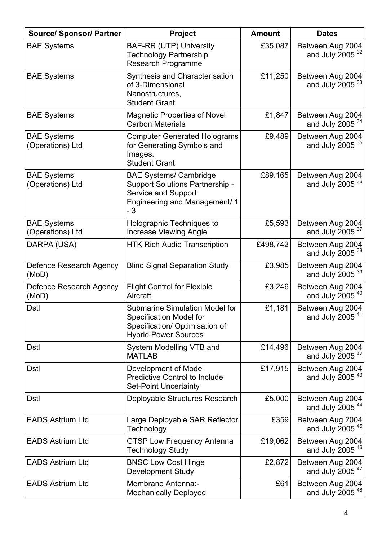| <b>Source/ Sponsor/ Partner</b>        | Project                                                                                                                                  | <b>Amount</b> | <b>Dates</b>                                    |
|----------------------------------------|------------------------------------------------------------------------------------------------------------------------------------------|---------------|-------------------------------------------------|
| <b>BAE Systems</b>                     | <b>BAE-RR (UTP) University</b><br><b>Technology Partnership</b><br><b>Research Programme</b>                                             | £35,087       | Between Aug 2004<br>and July $2005^{32}$        |
| <b>BAE Systems</b>                     | Synthesis and Characterisation<br>of 3-Dimensional<br>Nanostructures,<br><b>Student Grant</b>                                            | £11,250       | Between Aug 2004<br>and July 2005 $33$          |
| <b>BAE Systems</b>                     | <b>Magnetic Properties of Novel</b><br><b>Carbon Materials</b>                                                                           | £1,847        | Between Aug 2004<br>and July 2005 $34$          |
| <b>BAE Systems</b><br>(Operations) Ltd | <b>Computer Generated Holograms</b><br>for Generating Symbols and<br>Images.<br><b>Student Grant</b>                                     | £9,489        | Between Aug 2004<br>and July 2005 $35$          |
| <b>BAE Systems</b><br>(Operations) Ltd | <b>BAE Systems/ Cambridge</b><br><b>Support Solutions Partnership -</b><br>Service and Support<br>Engineering and Management/ 1<br>- 3   | £89,165       | Between Aug 2004<br>and July 2005 $36$          |
| <b>BAE Systems</b><br>(Operations) Ltd | Holographic Techniques to<br><b>Increase Viewing Angle</b>                                                                               | £5,593        | Between Aug 2004<br>and July $2005^{37}$        |
| DARPA (USA)                            | <b>HTK Rich Audio Transcription</b>                                                                                                      | £498,742      | Between Aug 2004<br>and July 2005 $38$          |
| Defence Research Agency<br>(MoD)       | <b>Blind Signal Separation Study</b>                                                                                                     | £3,985        | Between Aug 2004<br>and July $2005^{39}$        |
| Defence Research Agency<br>(MoD)       | <b>Flight Control for Flexible</b><br>Aircraft                                                                                           | £3,246        | Between Aug 2004<br>and July 2005 <sup>40</sup> |
| <b>Dstl</b>                            | <b>Submarine Simulation Model for</b><br><b>Specification Model for</b><br>Specification/ Optimisation of<br><b>Hybrid Power Sources</b> | £1,181        | Between Aug 2004<br>and July 2005 $41$          |
| <b>Dstl</b>                            | System Modelling VTB and<br><b>MATLAB</b>                                                                                                | £14,496       | Between Aug 2004<br>and July 2005 $42$          |
| <b>Dstl</b>                            | Development of Model<br><b>Predictive Control to Include</b><br><b>Set-Point Uncertainty</b>                                             | £17,915       | Between Aug 2004<br>and July 2005 $43$          |
| <b>Dstl</b>                            | Deployable Structures Research                                                                                                           | £5,000        | Between Aug 2004<br>and July 2005 <sup>44</sup> |
| <b>EADS Astrium Ltd</b>                | Large Deployable SAR Reflector<br>Technology                                                                                             | £359          | Between Aug 2004<br>and July 2005 <sup>45</sup> |
| <b>EADS Astrium Ltd</b>                | <b>GTSP Low Frequency Antenna</b><br><b>Technology Study</b>                                                                             | £19,062       | Between Aug 2004<br>and July 2005 $46$          |
| <b>EADS Astrium Ltd</b>                | <b>BNSC Low Cost Hinge</b><br><b>Development Study</b>                                                                                   | £2,872        | Between Aug 2004<br>and July 2005 $47$          |
| <b>EADS Astrium Ltd</b>                | Membrane Antenna:-<br><b>Mechanically Deployed</b>                                                                                       | £61           | Between Aug 2004<br>and July 2005 $48$          |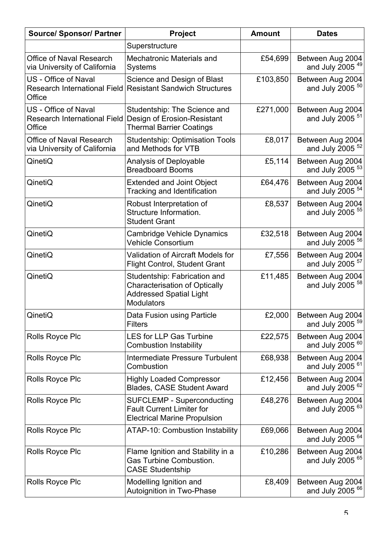| <b>Source/ Sponsor/ Partner</b>                                              | Project                                                                                                                     | <b>Amount</b> | <b>Dates</b>                                      |
|------------------------------------------------------------------------------|-----------------------------------------------------------------------------------------------------------------------------|---------------|---------------------------------------------------|
|                                                                              | Superstructure                                                                                                              |               |                                                   |
| <b>Office of Naval Research</b><br>via University of California              | <b>Mechatronic Materials and</b><br><b>Systems</b>                                                                          | £54,699       | Between Aug 2004<br>and July $2005$ <sup>49</sup> |
| <b>US</b> - Office of Naval<br><b>Research International Field</b><br>Office | Science and Design of Blast<br><b>Resistant Sandwich Structures</b>                                                         | £103,850      | Between Aug 2004<br>and July 2005 $50$            |
| US - Office of Naval<br><b>Research International Field</b><br>Office        | Studentship: The Science and<br>Design of Erosion-Resistant<br><b>Thermal Barrier Coatings</b>                              | £271,000      | Between Aug 2004<br>and July 2005 <sup>51</sup>   |
| <b>Office of Naval Research</b><br>via University of California              | <b>Studentship: Optimisation Tools</b><br>and Methods for VTB                                                               | £8,017        | Between Aug 2004<br>and July 2005 $52$            |
| QinetiQ                                                                      | <b>Analysis of Deployable</b><br><b>Breadboard Booms</b>                                                                    | £5,114        | Between Aug 2004<br>and July 2005 <sup>53</sup>   |
| QinetiQ                                                                      | <b>Extended and Joint Object</b><br><b>Tracking and Identification</b>                                                      | £64,476       | Between Aug 2004<br>and July 2005 <sup>54</sup>   |
| QinetiQ                                                                      | Robust Interpretation of<br>Structure Information.<br><b>Student Grant</b>                                                  | £8,537        | Between Aug 2004<br>and July 2005 <sup>55</sup>   |
| QinetiQ                                                                      | <b>Cambridge Vehicle Dynamics</b><br><b>Vehicle Consortium</b>                                                              | £32,518       | Between Aug 2004<br>and July 2005 <sup>56</sup>   |
| QinetiQ                                                                      | <b>Validation of Aircraft Models for</b><br><b>Flight Control, Student Grant</b>                                            | £7,556        | Between Aug 2004<br>and July 2005 <sup>57</sup>   |
| QinetiQ                                                                      | Studentship: Fabrication and<br><b>Characterisation of Optically</b><br><b>Addressed Spatial Light</b><br><b>Modulators</b> | £11,485       | Between Aug 2004<br>and July 2005 <sup>58</sup>   |
| QinetiQ                                                                      | Data Fusion using Particle<br><b>Filters</b>                                                                                | £2,000        | Between Aug 2004<br>and July 2005 $59$            |
| <b>Rolls Royce Plc</b>                                                       | <b>LES for LLP Gas Turbine</b><br><b>Combustion Instability</b>                                                             | £22,575       | Between Aug 2004<br>and July 2005 $60$            |
| Rolls Royce Plc                                                              | Intermediate Pressure Turbulent<br>Combustion                                                                               | £68,938       | Between Aug 2004<br>and July 2005 $61$            |
| Rolls Royce Plc                                                              | <b>Highly Loaded Compressor</b><br><b>Blades, CASE Student Award</b>                                                        | £12,456       | Between Aug 2004<br>and July 2005 $62$            |
| Rolls Royce Plc                                                              | <b>SUFCLEMP - Superconducting</b><br><b>Fault Current Limiter for</b><br><b>Electrical Marine Propulsion</b>                | £48,276       | Between Aug 2004<br>and July 2005 $63$            |
| Rolls Royce Plc                                                              | <b>ATAP-10: Combustion Instability</b>                                                                                      | £69,066       | Between Aug 2004<br>and July 2005 $64$            |
| Rolls Royce Plc                                                              | Flame Ignition and Stability in a<br><b>Gas Turbine Combustion.</b><br><b>CASE Studentship</b>                              | £10,286       | Between Aug 2004<br>and July 2005 <sup>65</sup>   |
| Rolls Royce Plc                                                              | Modelling Ignition and<br><b>Autoignition in Two-Phase</b>                                                                  | £8,409        | Between Aug 2004<br>and July 2005 $66$            |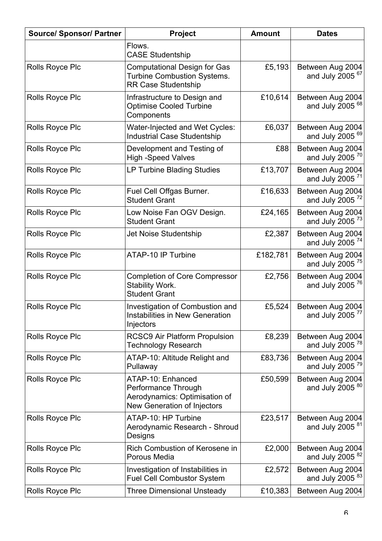| <b>Source/ Sponsor/ Partner</b> | Project                                                                                                  | <b>Amount</b> | <b>Dates</b>                                      |
|---------------------------------|----------------------------------------------------------------------------------------------------------|---------------|---------------------------------------------------|
|                                 | Flows.<br><b>CASE Studentship</b>                                                                        |               |                                                   |
| Rolls Royce Plc                 | <b>Computational Design for Gas</b><br><b>Turbine Combustion Systems.</b><br><b>RR Case Studentship</b>  | £5,193        | Between Aug 2004<br>and July 2005 $67$            |
| Rolls Royce Plc                 | Infrastructure to Design and<br><b>Optimise Cooled Turbine</b><br>Components                             | £10,614       | Between Aug 2004<br>and July 2005 $68$            |
| Rolls Royce Plc                 | Water-Injected and Wet Cycles:<br><b>Industrial Case Studentship</b>                                     | £6,037        | Between Aug 2004<br>and July $2005$ <sup>69</sup> |
| Rolls Royce Plc                 | Development and Testing of<br><b>High -Speed Valves</b>                                                  | £88           | Between Aug 2004<br>and July $2005$ <sup>70</sup> |
| Rolls Royce Plc                 | LP Turbine Blading Studies                                                                               | £13,707       | Between Aug 2004<br>and July 2005 <sup>71</sup>   |
| Rolls Royce Plc                 | Fuel Cell Offgas Burner.<br><b>Student Grant</b>                                                         | £16,633       | Between Aug 2004<br>and July 2005 <sup>72</sup>   |
| Rolls Royce Plc                 | Low Noise Fan OGV Design.<br><b>Student Grant</b>                                                        | £24,165       | Between Aug 2004<br>and July 2005 $^{73}$         |
| Rolls Royce Plc                 | Jet Noise Studentship                                                                                    | £2,387        | Between Aug 2004<br>and July 2005 <sup>74</sup>   |
| <b>Rolls Royce Plc</b>          | ATAP-10 IP Turbine                                                                                       | £182,781      | Between Aug 2004<br>and July 2005 <sup>75</sup>   |
| Rolls Royce Plc                 | <b>Completion of Core Compressor</b><br>Stability Work.<br><b>Student Grant</b>                          | £2,756        | Between Aug 2004<br>and July 2005 $76$            |
| Rolls Royce Plc                 | <b>Investigation of Combustion and</b><br><b>Instabilities in New Generation</b><br>Injectors            | £5,524        | Between Aug 2004<br>and July 2005 <sup>77</sup>   |
| Rolls Royce Plc                 | <b>RCSC9 Air Platform Propulsion</b><br><b>Technology Research</b>                                       | £8,239        | Between Aug 2004<br>and July 2005 $^{78}$         |
| Rolls Royce Plc                 | ATAP-10: Altitude Relight and<br>Pullaway                                                                | £83,736       | Between Aug 2004<br>and July 2005 $79$            |
| Rolls Royce Plc                 | ATAP-10: Enhanced<br>Performance Through<br>Aerodynamics: Optimisation of<br>New Generation of Injectors | £50,599       | Between Aug 2004<br>and July 2005 <sup>80</sup>   |
| Rolls Royce Plc                 | ATAP-10: HP Turbine<br>Aerodynamic Research - Shroud<br>Designs                                          | £23,517       | Between Aug 2004<br>and July 2005 <sup>81</sup>   |
| Rolls Royce Plc                 | Rich Combustion of Kerosene in<br>Porous Media                                                           | £2,000        | Between Aug 2004<br>and July 2005 $82$            |
| Rolls Royce Plc                 | Investigation of Instabilities in<br><b>Fuel Cell Combustor System</b>                                   | £2,572        | Between Aug 2004<br>and July 2005 $83$            |
| Rolls Royce Plc                 | <b>Three Dimensional Unsteady</b>                                                                        | £10,383       | Between Aug 2004                                  |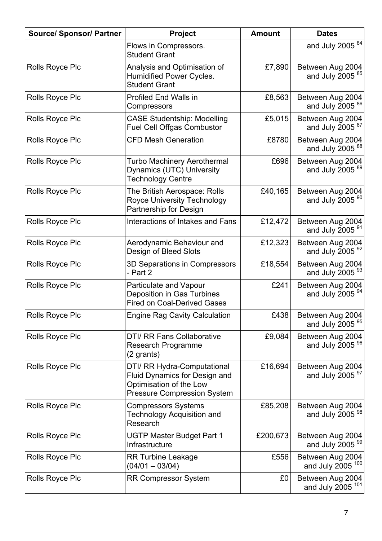| <b>Source/ Sponsor/ Partner</b> | Project                                                                                                                       | <b>Amount</b> | <b>Dates</b>                                       |
|---------------------------------|-------------------------------------------------------------------------------------------------------------------------------|---------------|----------------------------------------------------|
|                                 | Flows in Compressors.<br><b>Student Grant</b>                                                                                 |               | and July 2005 $84$                                 |
| Rolls Royce Plc                 | Analysis and Optimisation of<br>Humidified Power Cycles.<br><b>Student Grant</b>                                              | £7,890        | Between Aug 2004<br>and July $2005^{85}$           |
| <b>Rolls Royce Plc</b>          | <b>Profiled End Walls in</b><br>Compressors                                                                                   | £8,563        | Between Aug 2004<br>and July 2005 $86$             |
| <b>Rolls Royce Plc</b>          | <b>CASE Studentship: Modelling</b><br><b>Fuel Cell Offgas Combustor</b>                                                       | £5,015        | Between Aug 2004<br>and July 2005 <sup>87</sup>    |
| <b>Rolls Royce Plc</b>          | <b>CFD Mesh Generation</b>                                                                                                    | £8780         | Between Aug 2004<br>and July $2005^{88}$           |
| <b>Rolls Royce Plc</b>          | Turbo Machinery Aerothermal<br>Dynamics (UTC) University<br><b>Technology Centre</b>                                          | £696          | Between Aug 2004<br>and July 2005 <sup>89</sup>    |
| <b>Rolls Royce Plc</b>          | The British Aerospace: Rolls<br><b>Royce University Technology</b><br>Partnership for Design                                  | £40,165       | Between Aug 2004<br>and July 2005 <sup>90</sup>    |
| <b>Rolls Royce Plc</b>          | Interactions of Intakes and Fans                                                                                              | £12,472       | Between Aug 2004<br>and July $2005^{91}$           |
| Rolls Royce Plc                 | Aerodynamic Behaviour and<br>Design of Bleed Slots                                                                            | £12,323       | Between Aug 2004<br>and July $2005^{92}$           |
| Rolls Royce Plc                 | 3D Separations in Compressors<br>- Part 2                                                                                     | £18,554       | Between Aug 2004<br>and July $2005^{93}$           |
| <b>Rolls Royce Plc</b>          | Particulate and Vapour<br>Deposition in Gas Turbines<br><b>Fired on Coal-Derived Gases</b>                                    | £241          | Between Aug 2004<br>and July 2005 $94$             |
| Rolls Royce Plc                 | <b>Engine Rag Cavity Calculation</b>                                                                                          | £438          | Between Aug 2004<br>and July 2005 $95$             |
| <b>Rolls Royce Plc</b>          | <b>DTI/ RR Fans Collaborative</b><br><b>Research Programme</b><br>(2 grants)                                                  | £9,084        | Between Aug 2004<br>and July $2005^{96}$           |
| <b>Rolls Royce Plc</b>          | DTI/ RR Hydra-Computational<br>Fluid Dynamics for Design and<br>Optimisation of the Low<br><b>Pressure Compression System</b> | £16,694       | Between Aug 2004<br>and July $2005^{97}$           |
| Rolls Royce Plc                 | <b>Compressors Systems</b><br><b>Technology Acquisition and</b><br>Research                                                   | £85,208       | Between Aug 2004<br>and July 2005 $98$             |
| <b>Rolls Royce Plc</b>          | <b>UGTP Master Budget Part 1</b><br>Infrastructure                                                                            | £200,673      | Between Aug 2004<br>and July $2005^{99}$           |
| <b>Rolls Royce Plc</b>          | <b>RR Turbine Leakage</b><br>$(04/01 - 03/04)$                                                                                | £556          | Between Aug 2004<br>and July 2005 <sup>100</sup>   |
| <b>Rolls Royce Plc</b>          | <b>RR Compressor System</b>                                                                                                   | £0            | Between Aug 2004<br>and July $2005$ <sup>101</sup> |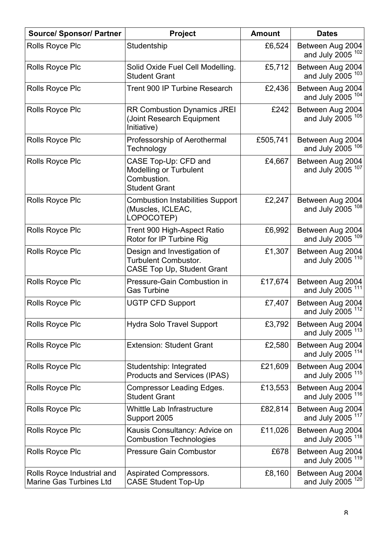| <b>Source/ Sponsor/ Partner</b>                              | Project                                                                                         | <b>Amount</b> | <b>Dates</b>                                     |
|--------------------------------------------------------------|-------------------------------------------------------------------------------------------------|---------------|--------------------------------------------------|
| <b>Rolls Royce Plc</b>                                       | Studentship                                                                                     | £6,524        | Between Aug 2004<br>and July 2005 <sup>102</sup> |
| Rolls Royce Plc                                              | Solid Oxide Fuel Cell Modelling.<br><b>Student Grant</b>                                        | £5,712        | Between Aug 2004<br>and July 2005 <sup>103</sup> |
| Rolls Royce Plc                                              | Trent 900 IP Turbine Research                                                                   | £2,436        | Between Aug 2004<br>and July 2005 <sup>104</sup> |
| Rolls Royce Plc                                              | <b>RR Combustion Dynamics JREI</b><br>(Joint Research Equipment<br>Initiative)                  | £242          | Between Aug 2004<br>and July 2005 <sup>105</sup> |
| Rolls Royce Plc                                              | Professorship of Aerothermal<br>Technology                                                      | £505,741      | Between Aug 2004<br>and July 2005 <sup>106</sup> |
| Rolls Royce Plc                                              | CASE Top-Up: CFD and<br><b>Modelling or Turbulent</b><br>Combustion.<br><b>Student Grant</b>    | £4,667        | Between Aug 2004<br>and July 2005 <sup>107</sup> |
| Rolls Royce Plc                                              | <b>Combustion Instabilities Support</b><br>(Muscles, ICLEAC,<br>LOPOCOTEP)                      | £2,247        | Between Aug 2004<br>and July 2005 <sup>108</sup> |
| Rolls Royce Plc                                              | Trent 900 High-Aspect Ratio<br>Rotor for IP Turbine Rig                                         | £6,992        | Between Aug 2004<br>and July 2005 <sup>109</sup> |
| Rolls Royce Plc                                              | Design and Investigation of<br><b>Turbulent Combustor.</b><br><b>CASE Top Up, Student Grant</b> | £1,307        | Between Aug 2004<br>and July 2005 <sup>110</sup> |
| Rolls Royce Plc                                              | <b>Pressure-Gain Combustion in</b><br><b>Gas Turbine</b>                                        | £17,674       | Between Aug 2004<br>and July 2005 <sup>111</sup> |
| Rolls Royce Plc                                              | <b>UGTP CFD Support</b>                                                                         | £7,407        | Between Aug 2004<br>and July 2005 <sup>112</sup> |
| Rolls Royce Plc                                              | <b>Hydra Solo Travel Support</b>                                                                | £3,792        | Between Aug 2004<br>and July 2005 <sup>113</sup> |
| Rolls Royce Plc                                              | <b>Extension: Student Grant</b>                                                                 | £2,580        | Between Aug 2004<br>and July 2005 <sup>114</sup> |
| Rolls Royce Plc                                              | Studentship: Integrated<br><b>Products and Services (IPAS)</b>                                  | £21,609       | Between Aug 2004<br>and July 2005 <sup>115</sup> |
| Rolls Royce Plc                                              | <b>Compressor Leading Edges.</b><br><b>Student Grant</b>                                        | £13,553       | Between Aug 2004<br>and July 2005 <sup>116</sup> |
| Rolls Royce Plc                                              | Whittle Lab Infrastructure<br>Support 2005                                                      | £82,814       | Between Aug 2004<br>and July 2005 <sup>117</sup> |
| Rolls Royce Plc                                              | Kausis Consultancy: Advice on<br><b>Combustion Technologies</b>                                 | £11,026       | Between Aug 2004<br>and July 2005 <sup>118</sup> |
| Rolls Royce Plc                                              | <b>Pressure Gain Combustor</b>                                                                  | £678          | Between Aug 2004<br>and July 2005 <sup>119</sup> |
| Rolls Royce Industrial and<br><b>Marine Gas Turbines Ltd</b> | <b>Aspirated Compressors.</b><br><b>CASE Student Top-Up</b>                                     | £8,160        | Between Aug 2004<br>and July 2005 <sup>120</sup> |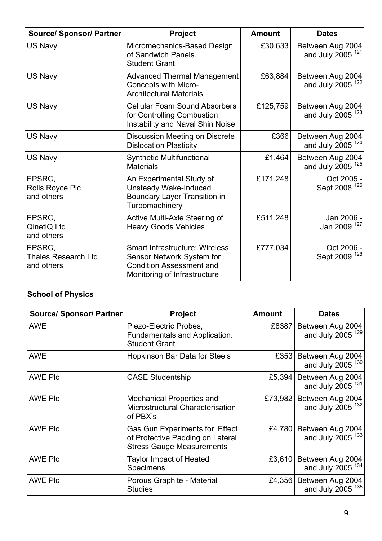| <b>Source/ Sponsor/ Partner</b>                    | <b>Project</b>                                                                                                                        | <b>Amount</b> | <b>Dates</b>                                     |
|----------------------------------------------------|---------------------------------------------------------------------------------------------------------------------------------------|---------------|--------------------------------------------------|
| US Navy                                            | Micromechanics-Based Design<br>of Sandwich Panels.<br><b>Student Grant</b>                                                            | £30,633       | Between Aug 2004<br>and July 2005 <sup>121</sup> |
| US Navy                                            | <b>Advanced Thermal Management</b><br>Concepts with Micro-<br><b>Architectural Materials</b>                                          | £63,884       | Between Aug 2004<br>and July 2005 <sup>122</sup> |
| US Navy                                            | <b>Cellular Foam Sound Absorbers</b><br>for Controlling Combustion<br>Instability and Naval Shin Noise                                | £125,759      | Between Aug 2004<br>and July 2005 $123$          |
| US Navy                                            | <b>Discussion Meeting on Discrete</b><br><b>Dislocation Plasticity</b>                                                                | £366          | Between Aug 2004<br>and July 2005 <sup>124</sup> |
| US Navy                                            | <b>Synthetic Multifunctional</b><br><b>Materials</b>                                                                                  | £1,464        | Between Aug 2004<br>and July 2005 <sup>125</sup> |
| EPSRC,<br>Rolls Royce Plc<br>and others            | An Experimental Study of<br><b>Unsteady Wake-Induced</b><br><b>Boundary Layer Transition in</b><br>Turbomachinery                     | £171,248      | Oct 2005 -<br>Sept 2008 <sup>126</sup>           |
| EPSRC,<br>QinetiQ Ltd<br>and others                | Active Multi-Axle Steering of<br><b>Heavy Goods Vehicles</b>                                                                          | £511,248      | Jan 2006 -<br>Jan 2009 <sup>127</sup>            |
| EPSRC,<br><b>Thales Research Ltd</b><br>and others | <b>Smart Infrastructure: Wireless</b><br>Sensor Network System for<br><b>Condition Assessment and</b><br>Monitoring of Infrastructure | £777,034      | Oct 2006 -<br>Sept 2009 <sup>128</sup>           |

# **School of Physics**

| <b>Source/ Sponsor/ Partner</b> | <b>Project</b>                                                                                           | <b>Amount</b> | <b>Dates</b>                                     |
|---------------------------------|----------------------------------------------------------------------------------------------------------|---------------|--------------------------------------------------|
| <b>AWE</b>                      | Piezo-Electric Probes,<br>Fundamentals and Application.<br><b>Student Grant</b>                          | £8387         | Between Aug 2004<br>and July 2005 <sup>129</sup> |
| <b>AWE</b>                      | <b>Hopkinson Bar Data for Steels</b>                                                                     | £353          | Between Aug 2004<br>and July 2005 <sup>130</sup> |
| <b>AWE PIC</b>                  | <b>CASE Studentship</b>                                                                                  | £5,394        | Between Aug 2004<br>and July 2005 <sup>131</sup> |
| <b>AWE PIC</b>                  | <b>Mechanical Properties and</b><br>Microstructural Characterisation<br>of PBX's                         | £73,982       | Between Aug 2004<br>and July 2005 <sup>132</sup> |
| <b>AWE PIC</b>                  | Gas Gun Experiments for 'Effect<br>of Protective Padding on Lateral<br><b>Stress Gauge Measurements'</b> | £4,780        | Between Aug 2004<br>and July 2005 <sup>133</sup> |
| <b>AWE PIC</b>                  | <b>Taylor Impact of Heated</b><br>Specimens                                                              | £3,610        | Between Aug 2004<br>and July 2005 <sup>134</sup> |
| <b>AWE PIC</b>                  | Porous Graphite - Material<br><b>Studies</b>                                                             | £4,356        | Between Aug 2004<br>and July 2005 <sup>135</sup> |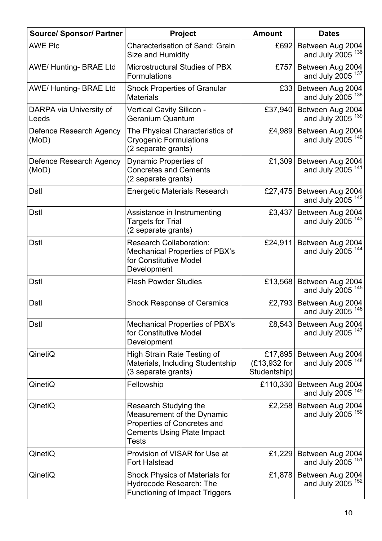| <b>Source/ Sponsor/ Partner</b>  | Project                                                                                                                          | <b>Amount</b>                           | <b>Dates</b>                                                    |
|----------------------------------|----------------------------------------------------------------------------------------------------------------------------------|-----------------------------------------|-----------------------------------------------------------------|
| <b>AWE PIC</b>                   | Characterisation of Sand: Grain<br>Size and Humidity                                                                             | £692                                    | Between Aug 2004<br>and July $2005$ <sup>136</sup>              |
| AWE/Hunting-BRAE Ltd             | Microstructural Studies of PBX<br>Formulations                                                                                   | £757                                    | Between Aug 2004<br>and July $2005$ <sup>137</sup>              |
| AWE/Hunting-BRAE Ltd             | <b>Shock Properties of Granular</b><br><b>Materials</b>                                                                          | E33                                     | Between Aug 2004<br>and July $2005$ <sup>138</sup>              |
| DARPA via University of<br>Leeds | <b>Vertical Cavity Silicon -</b><br>Geranium Quantum                                                                             | £37,940                                 | Between Aug 2004<br>and July $2005$ <sup><math>139</math></sup> |
| Defence Research Agency<br>(MoD) | The Physical Characteristics of<br><b>Cryogenic Formulations</b><br>(2 separate grants)                                          | £4,989                                  | Between Aug 2004<br>and July $2005$ <sup>140</sup>              |
| Defence Research Agency<br>(MoD) | Dynamic Properties of<br><b>Concretes and Cements</b><br>(2 separate grants)                                                     | £1,309                                  | Between Aug 2004<br>and July 2005 <sup>141</sup>                |
| <b>Dstl</b>                      | <b>Energetic Materials Research</b>                                                                                              | £27,475                                 | Between Aug 2004<br>and July 2005 <sup>142</sup>                |
| <b>Dstl</b>                      | Assistance in Instrumenting<br><b>Targets for Trial</b><br>(2 separate grants)                                                   | £3,437                                  | Between Aug 2004<br>and July 2005 <sup>143</sup>                |
| Dstl                             | <b>Research Collaboration:</b><br><b>Mechanical Properties of PBX's</b><br>for Constitutive Model<br>Development                 | £24,911                                 | Between Aug 2004<br>and July 2005 <sup>144</sup>                |
| <b>Dstl</b>                      | <b>Flash Powder Studies</b>                                                                                                      | £13,568                                 | Between Aug 2004<br>and July 2005 <sup>145</sup>                |
| <b>Dstl</b>                      | <b>Shock Response of Ceramics</b>                                                                                                | £2,793                                  | Between Aug 2004<br>and July $2005$ $^{146}$                    |
| <b>Dstl</b>                      | Mechanical Properties of PBX's<br>for Constitutive Model<br>Development                                                          | £8,543                                  | Between Aug 2004<br>and July 2005 <sup>147</sup>                |
| QinetiQ                          | High Strain Rate Testing of<br>Materials, Including Studentship<br>(3 separate grants)                                           | £17,895<br>(£13,932 for<br>Studentship) | Between Aug 2004<br>and July 2005 <sup>148</sup>                |
| QinetiQ                          | Fellowship                                                                                                                       | £110,330                                | Between Aug 2004<br>and July $2005$ <sup>149</sup>              |
| QinetiQ                          | Research Studying the<br>Measurement of the Dynamic<br>Properties of Concretes and<br><b>Cements Using Plate Impact</b><br>Tests | £2,258                                  | Between Aug 2004<br>and July $2005$ <sup>150</sup>              |
| QinetiQ                          | Provision of VISAR for Use at<br><b>Fort Halstead</b>                                                                            | £1,229                                  | Between Aug 2004<br>and July 2005 <sup>151</sup>                |
| QinetiQ                          | <b>Shock Physics of Materials for</b><br>Hydrocode Research: The<br><b>Functioning of Impact Triggers</b>                        | £1,878                                  | Between Aug 2004<br>and July $2005$ <sup>152</sup>              |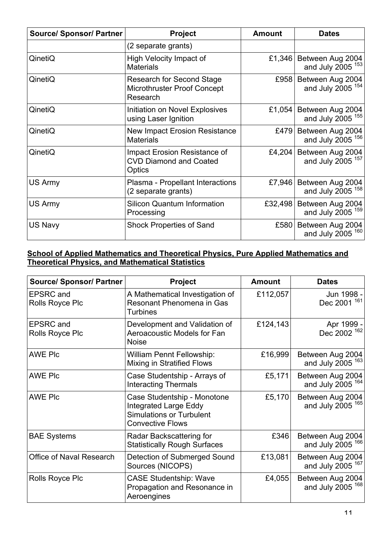| <b>Source/ Sponsor/ Partner</b> | <b>Project</b>                                                                     | <b>Amount</b> | <b>Dates</b>                                     |
|---------------------------------|------------------------------------------------------------------------------------|---------------|--------------------------------------------------|
|                                 | (2 separate grants)                                                                |               |                                                  |
| QinetiQ                         | High Velocity Impact of<br><b>Materials</b>                                        | £1,346        | Between Aug 2004<br>and July 2005 $153$          |
| QinetiQ                         | <b>Research for Second Stage</b><br><b>Microthruster Proof Concept</b><br>Research | £958          | Between Aug 2004<br>and July 2005 <sup>154</sup> |
| QinetiQ                         | Initiation on Novel Explosives<br>using Laser Ignition                             | £1,054        | Between Aug 2004<br>and July 2005 <sup>155</sup> |
| QinetiQ                         | <b>New Impact Erosion Resistance</b><br><b>Materials</b>                           | £479          | Between Aug 2004<br>and July 2005 <sup>156</sup> |
| QinetiQ                         | Impact Erosion Resistance of<br><b>CVD Diamond and Coated</b><br>Optics            | £4,204        | Between Aug 2004<br>and July 2005 <sup>157</sup> |
| US Army                         | Plasma - Propellant Interactions<br>(2 separate grants)                            | £7,946        | Between Aug 2004<br>and July 2005 <sup>158</sup> |
| US Army                         | <b>Silicon Quantum Information</b><br>Processing                                   | £32,498       | Between Aug 2004<br>and July 2005 <sup>159</sup> |
| US Navy                         | <b>Shock Properties of Sand</b>                                                    | £580          | Between Aug 2004<br>and July 2005 <sup>160</sup> |

#### **School of Applied Mathematics and Theoretical Physics, Pure Applied Mathematics and Theoretical Physics, and Mathematical Statistics**

| <b>Source/ Sponsor/ Partner</b>            | <b>Project</b>                                                                                                            | <b>Amount</b> | <b>Dates</b>                                     |
|--------------------------------------------|---------------------------------------------------------------------------------------------------------------------------|---------------|--------------------------------------------------|
| <b>EPSRC</b> and<br><b>Rolls Royce Plc</b> | A Mathematical Investigation of<br>Resonant Phenomena in Gas<br><b>Turbines</b>                                           | £112,057      | Jun 1998 -<br>Dec 2001 161                       |
| <b>EPSRC</b> and<br>Rolls Royce Plc        | Development and Validation of<br><b>Aeroacoustic Models for Fan</b><br><b>Noise</b>                                       | £124,143      | Apr 1999 -<br>Dec 2002 <sup>162</sup>            |
| <b>AWE PIC</b>                             | <b>William Pennt Fellowship:</b><br><b>Mixing in Stratified Flows</b>                                                     | £16,999       | Between Aug 2004<br>and July 2005 <sup>163</sup> |
| <b>AWE PIC</b>                             | Case Studentship - Arrays of<br><b>Interacting Thermals</b>                                                               | £5,171        | Between Aug 2004<br>and July 2005 <sup>164</sup> |
| <b>AWE PIc</b>                             | Case Studentship - Monotone<br><b>Integrated Large Eddy</b><br><b>Simulations or Turbulent</b><br><b>Convective Flows</b> | £5,170        | Between Aug 2004<br>and July 2005 <sup>165</sup> |
| <b>BAE Systems</b>                         | Radar Backscattering for<br><b>Statistically Rough Surfaces</b>                                                           | £346          | Between Aug 2004<br>and July 2005 <sup>166</sup> |
| <b>Office of Naval Research</b>            | Detection of Submerged Sound<br>Sources (NICOPS)                                                                          | £13,081       | Between Aug 2004<br>and July 2005 $167$          |
| Rolls Royce Plc                            | <b>CASE Studentship: Wave</b><br>Propagation and Resonance in<br>Aeroengines                                              | £4,055        | Between Aug 2004<br>and July 2005 <sup>168</sup> |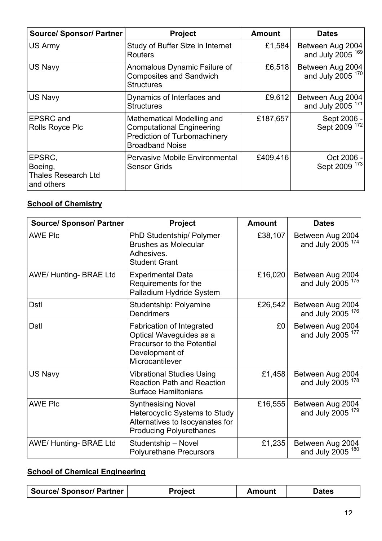| <b>Source/ Sponsor/ Partner</b>                               | <b>Project</b>                                                                                                                  | <b>Amount</b> | <b>Dates</b>                                     |
|---------------------------------------------------------------|---------------------------------------------------------------------------------------------------------------------------------|---------------|--------------------------------------------------|
| US Army                                                       | Study of Buffer Size in Internet<br><b>Routers</b>                                                                              | £1,584        | Between Aug 2004<br>and July 2005 <sup>169</sup> |
| <b>US Navy</b>                                                | Anomalous Dynamic Failure of<br><b>Composites and Sandwich</b><br><b>Structures</b>                                             | £6,518        | Between Aug 2004<br>and July 2005 <sup>170</sup> |
| <b>US Navy</b>                                                | Dynamics of Interfaces and<br><b>Structures</b>                                                                                 | £9,612        | Between Aug 2004<br>and July 2005 <sup>171</sup> |
| <b>EPSRC</b> and<br>Rolls Royce Plc                           | Mathematical Modelling and<br><b>Computational Engineering</b><br><b>Prediction of Turbomachinery</b><br><b>Broadband Noise</b> | £187,657      | Sept 2006 -<br>Sept 2009 <sup>172</sup>          |
| EPSRC,<br>Boeing,<br><b>Thales Research Ltd</b><br>and others | <b>Pervasive Mobile Environmental</b><br><b>Sensor Grids</b>                                                                    | £409,416      | Oct 2006 -<br>Sept 2009 <sup>173</sup>           |

# **School of Chemistry**

| <b>Source/ Sponsor/ Partner</b> | Project                                                                                                                                | <b>Amount</b> | <b>Dates</b>                                     |
|---------------------------------|----------------------------------------------------------------------------------------------------------------------------------------|---------------|--------------------------------------------------|
| <b>AWE PIC</b>                  | PhD Studentship/ Polymer<br><b>Brushes as Molecular</b><br>Adhesives.<br><b>Student Grant</b>                                          | £38,107       | Between Aug 2004<br>and July 2005 <sup>174</sup> |
| <b>AWE/ Hunting- BRAE Ltd</b>   | <b>Experimental Data</b><br>Requirements for the<br>Palladium Hydride System                                                           | £16,020       | Between Aug 2004<br>and July 2005 <sup>175</sup> |
| <b>Dstl</b>                     | Studentship: Polyamine<br><b>Dendrimers</b>                                                                                            | £26,542       | Between Aug 2004<br>and July 2005 <sup>176</sup> |
| <b>Dstl</b>                     | <b>Fabrication of Integrated</b><br>Optical Waveguides as a<br><b>Precursor to the Potential</b><br>Development of<br>Microcantilever  | £0            | Between Aug 2004<br>and July 2005 <sup>177</sup> |
| US Navy                         | <b>Vibrational Studies Using</b><br><b>Reaction Path and Reaction</b><br><b>Surface Hamiltonians</b>                                   | £1,458        | Between Aug 2004<br>and July 2005 <sup>178</sup> |
| <b>AWE PIC</b>                  | <b>Synthesising Novel</b><br><b>Heterocyclic Systems to Study</b><br>Alternatives to Isocyanates for<br><b>Producing Polyurethanes</b> | £16,555       | Between Aug 2004<br>and July 2005 <sup>179</sup> |
| <b>AWE/ Hunting- BRAE Ltd</b>   | Studentship - Novel<br><b>Polyurethane Precursors</b>                                                                                  | £1,235        | Between Aug 2004<br>and July 2005 <sup>180</sup> |

# **School of Chemical Engineering**

| Source/ Sponsor/ Partner | <b>Project</b> | <b>Amount</b> | <b>Dates</b> |
|--------------------------|----------------|---------------|--------------|
|--------------------------|----------------|---------------|--------------|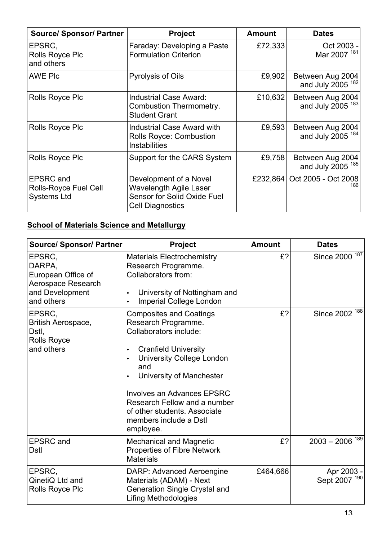| <b>Source/ Sponsor/ Partner</b>                                 | <b>Project</b>                                                                                                    | <b>Amount</b> | <b>Dates</b>                                     |
|-----------------------------------------------------------------|-------------------------------------------------------------------------------------------------------------------|---------------|--------------------------------------------------|
| EPSRC,<br>Rolls Royce Plc<br>and others                         | Faraday: Developing a Paste<br><b>Formulation Criterion</b>                                                       | £72,333       | Oct 2003 -<br>Mar 2007 <sup>181</sup>            |
| <b>AWE PIC</b>                                                  | <b>Pyrolysis of Oils</b>                                                                                          | £9,902        | Between Aug 2004<br>and July 2005 <sup>182</sup> |
| Rolls Royce Plc                                                 | <b>Industrial Case Award:</b><br>Combustion Thermometry.<br><b>Student Grant</b>                                  | £10,632       | Between Aug 2004<br>and July 2005 <sup>183</sup> |
| <b>Rolls Royce Plc</b>                                          | <b>Industrial Case Award with</b><br><b>Rolls Royce: Combustion</b><br><b>Instabilities</b>                       | £9,593        | Between Aug 2004<br>and July 2005 <sup>184</sup> |
| Rolls Royce Plc                                                 | Support for the CARS System                                                                                       | £9,758        | Between Aug 2004<br>and July 2005 <sup>185</sup> |
| <b>EPSRC</b> and<br>Rolls-Royce Fuel Cell<br><b>Systems Ltd</b> | Development of a Novel<br><b>Wavelength Agile Laser</b><br>Sensor for Solid Oxide Fuel<br><b>Cell Diagnostics</b> | £232,864      | Oct 2005 - Oct 2008<br>186                       |

# **School of Materials Science and Metallurgy**

| <b>Source/ Sponsor/ Partner</b>                                                               | Project                                                                                                                                                                                                                                                                                                                                                     | <b>Amount</b> | <b>Dates</b>                   |
|-----------------------------------------------------------------------------------------------|-------------------------------------------------------------------------------------------------------------------------------------------------------------------------------------------------------------------------------------------------------------------------------------------------------------------------------------------------------------|---------------|--------------------------------|
| EPSRC,<br>DARPA,<br>European Office of<br>Aerospace Research<br>and Development<br>and others | <b>Materials Electrochemistry</b><br>Research Programme.<br>Collaborators from:<br>University of Nottingham and<br>$\bullet$<br><b>Imperial College London</b><br>$\bullet$                                                                                                                                                                                 | £?            | 187<br><b>Since 2000</b>       |
| EPSRC,<br>British Aerospace,<br>Dstl,<br><b>Rolls Royce</b><br>and others                     | <b>Composites and Coatings</b><br>Research Programme.<br>Collaborators include:<br><b>Cranfield University</b><br>$\bullet$<br><b>University College London</b><br>$\bullet$<br>and<br>University of Manchester<br><b>Involves an Advances EPSRC</b><br>Research Fellow and a number<br>of other students. Associate<br>members include a Dstl<br>employee. | £?            | Since 2002 <sup>188</sup>      |
| <b>EPSRC</b> and<br>Dstl                                                                      | <b>Mechanical and Magnetic</b><br><b>Properties of Fibre Network</b><br><b>Materials</b>                                                                                                                                                                                                                                                                    | £?            | $2003 - 2006$ <sup>189</sup>   |
| EPSRC,<br>QinetiQ Ltd and<br><b>Rolls Royce Plc</b>                                           | DARP: Advanced Aeroengine<br>Materials (ADAM) - Next<br>Generation Single Crystal and<br><b>Lifing Methodologies</b>                                                                                                                                                                                                                                        | £464,666      | Apr 2003 -<br>190<br>Sept 2007 |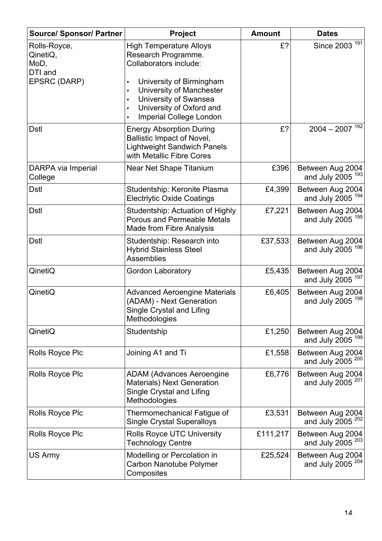| <b>Source/ Sponsor/ Partner</b>             | Project                                                                                                                                                                            | <b>Amount</b> | <b>Dates</b>                                     |
|---------------------------------------------|------------------------------------------------------------------------------------------------------------------------------------------------------------------------------------|---------------|--------------------------------------------------|
| Rolls-Royce,<br>QinetiQ,<br>MoD,<br>DTI and | <b>High Temperature Alloys</b><br>Research Programme.<br>Collaborators include:                                                                                                    | £?            | 191<br><b>Since 2003</b>                         |
| EPSRC (DARP)                                | University of Birmingham<br>$\bullet$<br>University of Manchester<br>University of Swansea<br>$\bullet$<br>University of Oxford and<br>$\bullet$<br><b>Imperial College London</b> |               |                                                  |
| <b>Dstl</b>                                 | <b>Energy Absorption During</b><br><b>Ballistic Impact of Novel,</b><br><b>Lightweight Sandwich Panels</b><br>with Metallic Fibre Cores                                            | £?            | $2004 - 2007$ <sup>192</sup>                     |
| DARPA via Imperial<br>College               | Near Net Shape Titanium                                                                                                                                                            | £396          | Between Aug 2004<br>and July 2005 <sup>193</sup> |
| <b>Dstl</b>                                 | Studentship: Keronite Plasma<br><b>Electrivtic Oxide Coatings</b>                                                                                                                  | £4,399        | Between Aug 2004<br>and July 2005 <sup>194</sup> |
| <b>Dstl</b>                                 | Studentship: Actuation of Highly<br><b>Porous and Permeable Metals</b><br>Made from Fibre Analysis                                                                                 | £7,221        | Between Aug 2004<br>and July 2005 <sup>195</sup> |
| <b>Dstl</b>                                 | Studentship: Research into<br><b>Hybrid Stainless Steel</b><br><b>Assemblies</b>                                                                                                   | £37,533       | Between Aug 2004<br>and July 2005 <sup>196</sup> |
| QinetiQ                                     | <b>Gordon Laboratory</b>                                                                                                                                                           | £5,435        | Between Aug 2004<br>and July 2005 <sup>197</sup> |
| QinetiQ                                     | <b>Advanced Aeroengine Materials</b><br>(ADAM) - Next Generation<br>Single Crystal and Lifing<br>Methodologies                                                                     | £6,405        | Between Aug 2004<br>and July 2005                |
| QinetiQ                                     | Studentship                                                                                                                                                                        | £1,250        | Between Aug 2004<br>and July 2005 <sup>199</sup> |
| <b>Rolls Royce Plc</b>                      | Joining A1 and Ti                                                                                                                                                                  | £1,558        | Between Aug 2004<br>and July 2005 <sup>200</sup> |
| <b>Rolls Royce Plc</b>                      | <b>ADAM (Advances Aeroengine</b><br><b>Materials) Next Generation</b><br>Single Crystal and Lifing<br>Methodologies                                                                | £6,776        | Between Aug 2004<br>and July 2005 <sup>201</sup> |
| <b>Rolls Royce Plc</b>                      | Thermomechanical Fatigue of<br><b>Single Crystal Superalloys</b>                                                                                                                   | £3,531        | Between Aug 2004<br>and July 2005 <sup>202</sup> |
| <b>Rolls Royce Plc</b>                      | <b>Rolls Royce UTC University</b><br><b>Technology Centre</b>                                                                                                                      | £111,217      | Between Aug 2004<br>and July 2005 <sup>203</sup> |
| US Army                                     | Modelling or Percolation in<br><b>Carbon Nanotube Polymer</b><br>Composites                                                                                                        | £25,524       | Between Aug 2004<br>and July 2005 <sup>204</sup> |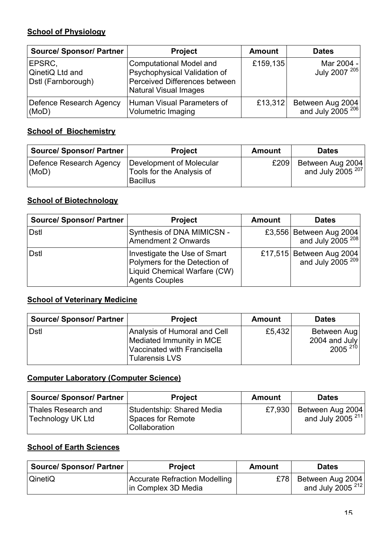## **School of Physiology**

| <b>Source/ Sponsor/ Partner</b>                 | <b>Project</b>                                                                                                                  | <b>Amount</b> | <b>Dates</b>                               |
|-------------------------------------------------|---------------------------------------------------------------------------------------------------------------------------------|---------------|--------------------------------------------|
| EPSRC,<br>QinetiQ Ltd and<br>Dstl (Farnborough) | <b>Computational Model and</b><br>Psychophysical Validation of<br>Perceived Differences between<br><b>Natural Visual Images</b> | £159,135      | Mar 2004 -<br>July 2007 <sup>205</sup>     |
| Defence Research Agency<br>(MoD)                | Human Visual Parameters of<br><b>Volumetric Imaging</b>                                                                         | £13,312       | Between Aug 2004<br>and July 2005 $^{206}$ |

## **School of Biochemistry**

| <b>Source/ Sponsor/ Partner</b>  | <b>Project</b>                                                           | <b>Amount</b> | <b>Dates</b>                              |
|----------------------------------|--------------------------------------------------------------------------|---------------|-------------------------------------------|
| Defence Research Agency<br>(MoD) | Development of Molecular<br>Tools for the Analysis of<br><b>Bacillus</b> | £209          | Between Aug 2004<br>and July $2005^{207}$ |

## **School of Biotechnology**

| <b>Source/ Sponsor/ Partner</b> | <b>Project</b>                                                                                                         | <b>Amount</b> | <b>Dates</b>                                            |
|---------------------------------|------------------------------------------------------------------------------------------------------------------------|---------------|---------------------------------------------------------|
| <b>Dstl</b>                     | Synthesis of DNA MIMICSN -<br><b>Amendment 2 Onwards</b>                                                               |               | £3,556 Between Aug 2004<br>and July 2005 <sup>208</sup> |
| <b>Dstl</b>                     | Investigate the Use of Smart<br>Polymers for the Detection of<br>Liquid Chemical Warfare (CW)<br><b>Agents Couples</b> |               | £17,515 Between Aug 2004<br>and July 2005 $^{209}$      |

#### **School of Veterinary Medicine**

| <b>Source/ Sponsor/ Partner</b> | <b>Project</b>                                                                                                          | <b>Amount</b> | <b>Dates</b>                                 |
|---------------------------------|-------------------------------------------------------------------------------------------------------------------------|---------------|----------------------------------------------|
| <b>Dstl</b>                     | Analysis of Humoral and Cell<br><b>Mediated Immunity in MCE</b><br>Vaccinated with Francisella<br><b>Tularensis LVS</b> | £5,432        | Between Aug<br>2004 and July<br>$2005^{210}$ |

## **Computer Laboratory (Computer Science)**

| <b>Source/ Sponsor/ Partner</b>                 | <b>Project</b>                                                  | <b>Amount</b> | <b>Dates</b>                                     |
|-------------------------------------------------|-----------------------------------------------------------------|---------------|--------------------------------------------------|
| Thales Research and<br><b>Technology UK Ltd</b> | Studentship: Shared Media<br>Spaces for Remote<br>Collaboration | £7,930        | Between Aug 2004<br>and July 2005 <sup>211</sup> |

# **School of Earth Sciences**

| Source/ Sponsor/ Partner | <b>Project</b>                                       | Amount | <b>Dates</b>                                         |
|--------------------------|------------------------------------------------------|--------|------------------------------------------------------|
| <b>QinetiQ</b>           | Accurate Refraction Modelling<br>in Complex 3D Media |        | £78 Between Aug 2004<br>and July 2005 <sup>212</sup> |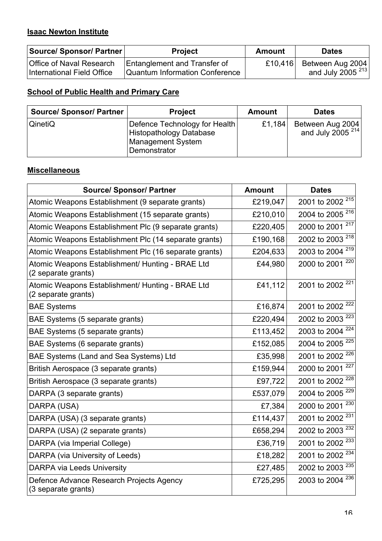## **Isaac Newton Institute**

| Source/ Sponsor/ Partner   | <b>Project</b>                      | <b>Amount</b> | <b>Dates</b>          |
|----------------------------|-------------------------------------|---------------|-----------------------|
| Office of Naval Research   | <b>Entanglement and Transfer of</b> | £10.416       | Between Aug 2004      |
| International Field Office | Quantum Information Conference      |               | and July $2005^{213}$ |

# **School of Public Health and Primary Care**

| <b>Source/ Sponsor/ Partner</b> | <b>Project</b>                                                                                              | <b>Amount</b> | <b>Dates</b>                               |
|---------------------------------|-------------------------------------------------------------------------------------------------------------|---------------|--------------------------------------------|
| QinetiQ                         | Defence Technology for Health<br><b>Histopathology Database</b><br><b>Management System</b><br>Demonstrator | £1,184        | Between Aug 2004<br>and July 2005 $^{214}$ |

## **Miscellaneous**

| <b>Source/ Sponsor/ Partner</b>                                         | <b>Amount</b> | <b>Dates</b>                |
|-------------------------------------------------------------------------|---------------|-----------------------------|
| Atomic Weapons Establishment (9 separate grants)                        | £219,047      | 2001 to 2002 <sup>215</sup> |
| Atomic Weapons Establishment (15 separate grants)                       | £210,010      | 2004 to 2005 <sup>216</sup> |
| Atomic Weapons Establishment Plc (9 separate grants)                    | £220,405      | 2000 to 2001 217            |
| Atomic Weapons Establishment Plc (14 separate grants)                   | £190,168      | 2002 to 2003 <sup>218</sup> |
| Atomic Weapons Establishment Plc (16 separate grants)                   | £204,633      | 2003 to 2004 <sup>219</sup> |
| Atomic Weapons Establishment/ Hunting - BRAE Ltd<br>(2 separate grants) | £44,980       | 220<br>2000 to 2001         |
| Atomic Weapons Establishment/ Hunting - BRAE Ltd<br>(2 separate grants) | £41,112       | 2001 to 2002 <sup>221</sup> |
| <b>BAE Systems</b>                                                      | £16,874       | 2001 to 2002 <sup>222</sup> |
| BAE Systems (5 separate grants)                                         | £220,494      | 2002 to 2003 <sup>223</sup> |
| BAE Systems (5 separate grants)                                         | £113,452      | 2003 to 2004 <sup>224</sup> |
| BAE Systems (6 separate grants)                                         | £152,085      | 2004 to 2005 <sup>225</sup> |
| BAE Systems (Land and Sea Systems) Ltd                                  | £35,998       | 2001 to 2002 <sup>226</sup> |
| British Aerospace (3 separate grants)                                   | £159,944      | 227<br>2000 to 2001         |
| British Aerospace (3 separate grants)                                   | £97,722       | 2001 to 2002 <sup>228</sup> |
| DARPA (3 separate grants)                                               | £537,079      | 229<br>2004 to 2005         |
| DARPA (USA)                                                             | £7,384        | 230<br>2000 to 2001         |
| DARPA (USA) (3 separate grants)                                         | £114,437      | 231<br>2001 to 2002         |
| DARPA (USA) (2 separate grants)                                         | £658,294      | 232<br>2002 to 2003         |
| DARPA (via Imperial College)                                            | £36,719       | 233<br>2001 to 2002         |
| DARPA (via University of Leeds)                                         | £18,282       | 2001 to 2002 <sup>234</sup> |
| <b>DARPA via Leeds University</b>                                       | £27,485       | 235<br>2002 to 2003         |
| Defence Advance Research Projects Agency<br>(3 separate grants)         | £725,295      | 236<br>2003 to 2004         |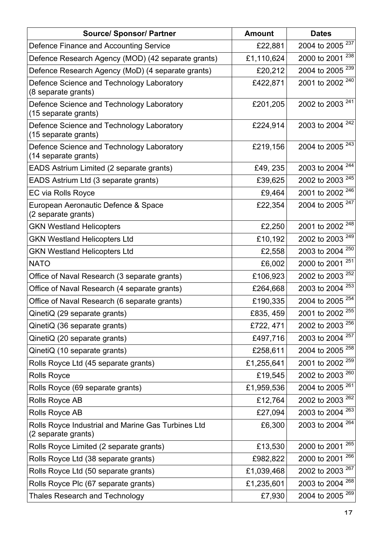| <b>Source/ Sponsor/ Partner</b>                                           | <b>Amount</b> | <b>Dates</b>                |
|---------------------------------------------------------------------------|---------------|-----------------------------|
| Defence Finance and Accounting Service                                    | £22,881       | 2004 to 2005 <sup>237</sup> |
| Defence Research Agency (MOD) (42 separate grants)                        | £1,110,624    | 238<br>2000 to 2001         |
| Defence Research Agency (MoD) (4 separate grants)                         | £20,212       | 239<br>2004 to 2005         |
| Defence Science and Technology Laboratory<br>(8 separate grants)          | £422,871      | 2001 to 2002 <sup>240</sup> |
| Defence Science and Technology Laboratory<br>(15 separate grants)         | £201,205      | 2002 to 2003 <sup>241</sup> |
| Defence Science and Technology Laboratory<br>(15 separate grants)         | £224,914      | 242<br>2003 to 2004         |
| Defence Science and Technology Laboratory<br>(14 separate grants)         | £219,156      | 2004 to 2005 <sup>243</sup> |
| EADS Astrium Limited (2 separate grants)                                  | £49, 235      | 2003 to 2004 <sup>244</sup> |
| EADS Astrium Ltd (3 separate grants)                                      | £39,625       | 2002 to 2003 <sup>245</sup> |
| EC via Rolls Royce                                                        | £9,464        | 2001 to 2002 <sup>246</sup> |
| European Aeronautic Defence & Space<br>(2 separate grants)                | £22,354       | 2004 to 2005 <sup>247</sup> |
| <b>GKN Westland Helicopters</b>                                           | £2,250        | 2001 to 2002 <sup>248</sup> |
| <b>GKN Westland Helicopters Ltd</b>                                       | £10,192       | 2002 to 2003 <sup>249</sup> |
| <b>GKN Westland Helicopters Ltd</b>                                       | £2,558        | 2003 to 2004 <sup>250</sup> |
| <b>NATO</b>                                                               | £6,002        | 251<br>2000 to 2001         |
| Office of Naval Research (3 separate grants)                              | £106,923      | 2002 to 2003 <sup>252</sup> |
| Office of Naval Research (4 separate grants)                              | £264,668      | 2003 to 2004 <sup>253</sup> |
| Office of Naval Research (6 separate grants)                              | £190,335      | 2004 to 2005 <sup>254</sup> |
| QinetiQ (29 separate grants)                                              | £835, 459     | 2001 to 2002 <sup>255</sup> |
| QinetiQ (36 separate grants)                                              | £722, 471     | 2002 to 2003 <sup>256</sup> |
| QinetiQ (20 separate grants)                                              | £497,716      | 2003 to 2004 <sup>257</sup> |
| QinetiQ (10 separate grants)                                              | £258,611      | 2004 to 2005 <sup>258</sup> |
| Rolls Royce Ltd (45 separate grants)                                      | £1,255,641    | 2001 to 2002 <sup>259</sup> |
| <b>Rolls Royce</b>                                                        | £19,545       | 2002 to 2003 <sup>260</sup> |
| Rolls Royce (69 separate grants)                                          | £1,959,536    | 2004 to 2005 <sup>261</sup> |
| Rolls Royce AB                                                            | £12,764       | 2002 to 2003 <sup>262</sup> |
| Rolls Royce AB                                                            | £27,094       | 2003 to 2004 <sup>263</sup> |
| Rolls Royce Industrial and Marine Gas Turbines Ltd<br>(2 separate grants) | £6,300        | 2003 to 2004 <sup>264</sup> |
| Rolls Royce Limited (2 separate grants)                                   | £13,530       | 265<br>2000 to 2001         |
| Rolls Royce Ltd (38 separate grants)                                      | £982,822      | 266<br>2000 to 2001         |
| Rolls Royce Ltd (50 separate grants)                                      | £1,039,468    | 2002 to 2003 <sup>267</sup> |
| Rolls Royce Plc (67 separate grants)                                      | £1,235,601    | 2003 to 2004 <sup>268</sup> |
| <b>Thales Research and Technology</b>                                     | £7,930        | 2004 to 2005 <sup>269</sup> |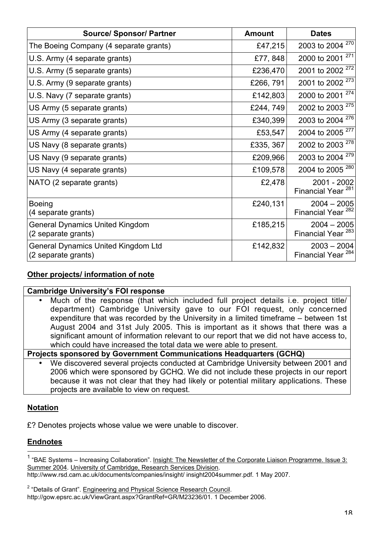| <b>Source/ Sponsor/ Partner</b>                                   | <b>Amount</b> | <b>Dates</b>                                   |
|-------------------------------------------------------------------|---------------|------------------------------------------------|
| The Boeing Company (4 separate grants)                            | £47,215       | 2003 to 2004 <sup>270</sup>                    |
| U.S. Army (4 separate grants)                                     | £77, 848      | 271<br>2000 to 2001                            |
| U.S. Army (5 separate grants)                                     | £236,470      | 2001 to 2002 <sup>272</sup>                    |
| U.S. Army (9 separate grants)                                     | £266, 791     | 2001 to 2002 <sup>273</sup>                    |
| U.S. Navy (7 separate grants)                                     | £142,803      | 274<br>2000 to 2001                            |
| US Army (5 separate grants)                                       | £244, 749     | 275<br>2002 to 2003                            |
| US Army (3 separate grants)                                       | £340,399      | 276<br>2003 to 2004                            |
| US Army (4 separate grants)                                       | £53,547       | 2004 to 2005 <sup>277</sup>                    |
| US Navy (8 separate grants)                                       | £335, 367     | 2002 to 2003 <sup>278</sup>                    |
| US Navy (9 separate grants)                                       | £209,966      | 2003 to 2004 <sup>279</sup>                    |
| US Navy (4 separate grants)                                       | £109,578      | 2004 to 2005 <sup>280</sup>                    |
| NATO (2 separate grants)                                          | £2,478        | 2001 - 2002<br>Financial Year <sup>281</sup>   |
| <b>Boeing</b><br>(4 separate grants)                              | £240,131      | $2004 - 2005$<br>Financial Year <sup>282</sup> |
| <b>General Dynamics United Kingdom</b><br>(2 separate grants)     | £185,215      | $2004 - 2005$<br>Financial Year <sup>283</sup> |
| <b>General Dynamics United Kingdom Ltd</b><br>(2 separate grants) | £142,832      | $2003 - 2004$<br><b>Financial Year</b>         |

## **Other projects/ information of note**

#### **Cambridge University's FOI response**

• Much of the response (that which included full project details i.e. project title/ department) Cambridge University gave to our FOI request, only concerned expenditure that was recorded by the University in a limited timeframe – between 1st August 2004 and 31st July 2005. This is important as it shows that there was a significant amount of information relevant to our report that we did not have access to, which could have increased the total data we were able to present.

**Projects sponsored by Government Communications Headquarters (GCHQ)**

• We discovered several projects conducted at Cambridge University between 2001 and 2006 which were sponsored by GCHQ. We did not include these projects in our report because it was not clear that they had likely or potential military applications. These projects are available to view on request.

#### **Notation**

£? Denotes projects whose value we were unable to discover.

#### **Endnotes**

1 "BAE Systems – Increasing Collaboration". Insight: The Newsletter of the Corporate Liaison Programme. Issue 3: Summer 2004. University of Cambridge, Research Services Division. http://www.rsd.cam.ac.uk/documents/companies/insight/ insight2004summer.pdf. 1 May 2007.

<sup>&</sup>lt;sup>2</sup> "Details of Grant". Engineering and Physical Science Research Council. http://gow.epsrc.ac.uk/ViewGrant.aspx?GrantRef=GR/M23236/01. 1 December 2006.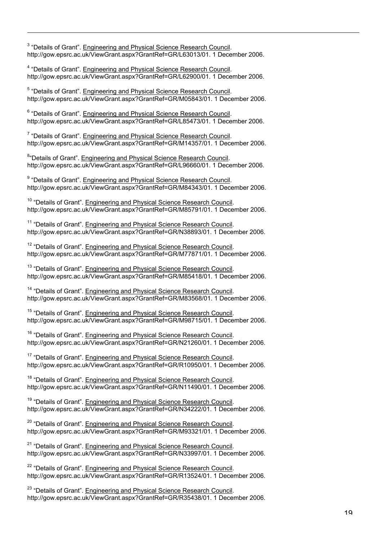<sup>3</sup> "Details of Grant". Engineering and Physical Science Research Council. http://gow.epsrc.ac.uk/ViewGrant.aspx?GrantRef=GR/L63013/01. 1 December 2006.

<sup>4</sup> "Details of Grant". Engineering and Physical Science Research Council. http://gow.epsrc.ac.uk/ViewGrant.aspx?GrantRef=GR/L62900/01. 1 December 2006.

<sup>5</sup> "Details of Grant". Engineering and Physical Science Research Council. http://gow.epsrc.ac.uk/ViewGrant.aspx?GrantRef=GR/M05843/01. 1 December 2006.

<sup>6</sup> "Details of Grant". Engineering and Physical Science Research Council. http://gow.epsrc.ac.uk/ViewGrant.aspx?GrantRef=GR/L85473/01. 1 December 2006.

<sup>7</sup> "Details of Grant". Engineering and Physical Science Research Council. http://gow.epsrc.ac.uk/ViewGrant.aspx?GrantRef=GR/M14357/01. 1 December 2006.

<sup>8</sup>"Details of Grant". Engineering and Physical Science Research Council. http://gow.epsrc.ac.uk/ViewGrant.aspx?GrantRef=GR/L96660/01. 1 December 2006.

<sup>9</sup> "Details of Grant". Engineering and Physical Science Research Council. http://gow.epsrc.ac.uk/ViewGrant.aspx?GrantRef=GR/M84343/01. 1 December 2006.

<sup>10</sup> "Details of Grant". Engineering and Physical Science Research Council. http://gow.epsrc.ac.uk/ViewGrant.aspx?GrantRef=GR/M85791/01. 1 December 2006.

<sup>11</sup> "Details of Grant". Engineering and Physical Science Research Council. http://gow.epsrc.ac.uk/ViewGrant.aspx?GrantRef=GR/N38893/01. 1 December 2006.

<sup>12</sup> "Details of Grant". Engineering and Physical Science Research Council. http://gow.epsrc.ac.uk/ViewGrant.aspx?GrantRef=GR/M77871/01. 1 December 2006.

<sup>13</sup> "Details of Grant". Engineering and Physical Science Research Council. http://gow.epsrc.ac.uk/ViewGrant.aspx?GrantRef=GR/M85418/01. 1 December 2006.

<sup>14</sup> "Details of Grant". Engineering and Physical Science Research Council. http://gow.epsrc.ac.uk/ViewGrant.aspx?GrantRef=GR/M83568/01. 1 December 2006.

<sup>15</sup> "Details of Grant". Engineering and Physical Science Research Council. http://gow.epsrc.ac.uk/ViewGrant.aspx?GrantRef=GR/M98715/01. 1 December 2006.

<sup>16</sup> "Details of Grant". Engineering and Physical Science Research Council. http://gow.epsrc.ac.uk/ViewGrant.aspx?GrantRef=GR/N21260/01. 1 December 2006.

<sup>17</sup> "Details of Grant". Engineering and Physical Science Research Council. http://gow.epsrc.ac.uk/ViewGrant.aspx?GrantRef=GR/R10950/01. 1 December 2006.

<sup>18</sup> "Details of Grant". Engineering and Physical Science Research Council. http://gow.epsrc.ac.uk/ViewGrant.aspx?GrantRef=GR/N11490/01. 1 December 2006.

<sup>19</sup> "Details of Grant". Engineering and Physical Science Research Council. http://gow.epsrc.ac.uk/ViewGrant.aspx?GrantRef=GR/N34222/01. 1 December 2006.

<sup>20</sup> "Details of Grant". Engineering and Physical Science Research Council. http://gow.epsrc.ac.uk/ViewGrant.aspx?GrantRef=GR/M93321/01. 1 December 2006.

<sup>21</sup> "Details of Grant". Engineering and Physical Science Research Council. http://gow.epsrc.ac.uk/ViewGrant.aspx?GrantRef=GR/N33997/01. 1 December 2006.

<sup>22</sup> "Details of Grant". Engineering and Physical Science Research Council. http://gow.epsrc.ac.uk/ViewGrant.aspx?GrantRef=GR/R13524/01. 1 December 2006.

<sup>23</sup> "Details of Grant". Engineering and Physical Science Research Council. http://gow.epsrc.ac.uk/ViewGrant.aspx?GrantRef=GR/R35438/01. 1 December 2006.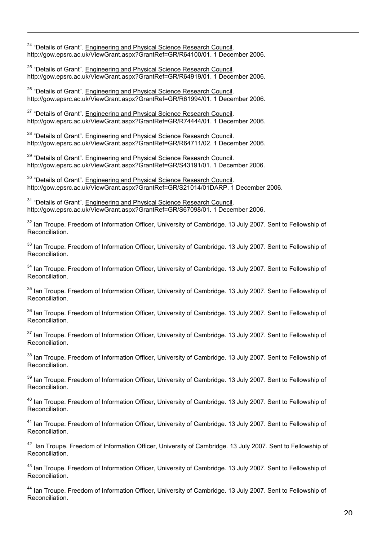<sup>24</sup> "Details of Grant". Engineering and Physical Science Research Council. http://gow.epsrc.ac.uk/ViewGrant.aspx?GrantRef=GR/R64100/01. 1 December 2006.

<sup>25</sup> "Details of Grant". Engineering and Physical Science Research Council. http://gow.epsrc.ac.uk/ViewGrant.aspx?GrantRef=GR/R64919/01. 1 December 2006.

<sup>26</sup> "Details of Grant". Engineering and Physical Science Research Council. http://gow.epsrc.ac.uk/ViewGrant.aspx?GrantRef=GR/R61994/01. 1 December 2006.

<sup>27</sup> "Details of Grant". Engineering and Physical Science Research Council. http://gow.epsrc.ac.uk/ViewGrant.aspx?GrantRef=GR/R74444/01. 1 December 2006.

<sup>28</sup> "Details of Grant". Engineering and Physical Science Research Council. http://gow.epsrc.ac.uk/ViewGrant.aspx?GrantRef=GR/R64711/02. 1 December 2006.

<sup>29</sup> "Details of Grant". Engineering and Physical Science Research Council. http://gow.epsrc.ac.uk/ViewGrant.aspx?GrantRef=GR/S43191/01. 1 December 2006.

<sup>30</sup> "Details of Grant". Engineering and Physical Science Research Council. http://gow.epsrc.ac.uk/ViewGrant.aspx?GrantRef=GR/S21014/01DARP. 1 December 2006.

<sup>31</sup> "Details of Grant". Engineering and Physical Science Research Council. http://gow.epsrc.ac.uk/ViewGrant.aspx?GrantRef=GR/S67098/01. 1 December 2006.

<sup>32</sup> Ian Troupe. Freedom of Information Officer, University of Cambridge. 13 July 2007. Sent to Fellowship of Reconciliation.

<sup>33</sup> Ian Troupe. Freedom of Information Officer, University of Cambridge. 13 July 2007. Sent to Fellowship of Reconciliation.

<sup>34</sup> Ian Troupe. Freedom of Information Officer, University of Cambridge. 13 July 2007. Sent to Fellowship of Reconciliation.

<sup>35</sup> Ian Troupe. Freedom of Information Officer, University of Cambridge. 13 July 2007. Sent to Fellowship of Reconciliation.

<sup>36</sup> Ian Troupe. Freedom of Information Officer, University of Cambridge. 13 July 2007. Sent to Fellowship of Reconciliation.

<sup>37</sup> Ian Troupe. Freedom of Information Officer, University of Cambridge. 13 July 2007. Sent to Fellowship of Reconciliation.

<sup>38</sup> Ian Troupe. Freedom of Information Officer, University of Cambridge. 13 July 2007. Sent to Fellowship of Reconciliation.

<sup>39</sup> Ian Troupe. Freedom of Information Officer, University of Cambridge. 13 July 2007. Sent to Fellowship of Reconciliation.

<sup>40</sup> Ian Troupe. Freedom of Information Officer, University of Cambridge. 13 July 2007. Sent to Fellowship of Reconciliation.

<sup>41</sup> Ian Troupe. Freedom of Information Officer, University of Cambridge. 13 July 2007. Sent to Fellowship of Reconciliation.

<sup>42</sup> Ian Troupe. Freedom of Information Officer, University of Cambridge. 13 July 2007. Sent to Fellowship of Reconciliation.

<sup>43</sup> Ian Troupe. Freedom of Information Officer, University of Cambridge. 13 July 2007. Sent to Fellowship of Reconciliation.

<sup>44</sup> Ian Troupe. Freedom of Information Officer, University of Cambridge. 13 July 2007. Sent to Fellowship of Reconciliation.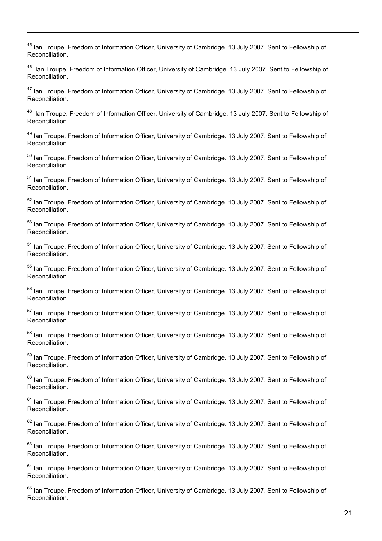<sup>45</sup> Ian Troupe. Freedom of Information Officer, University of Cambridge. 13 July 2007. Sent to Fellowship of Reconciliation.

<sup>46</sup> Ian Troupe. Freedom of Information Officer, University of Cambridge. 13 July 2007. Sent to Fellowship of Reconciliation.

<sup>47</sup> Ian Troupe. Freedom of Information Officer, University of Cambridge. 13 July 2007. Sent to Fellowship of Reconciliation.

<sup>48</sup> Ian Troupe. Freedom of Information Officer, University of Cambridge. 13 July 2007. Sent to Fellowship of Reconciliation.

<sup>49</sup> Ian Troupe. Freedom of Information Officer, University of Cambridge. 13 July 2007. Sent to Fellowship of Reconciliation.

<sup>50</sup> Ian Troupe. Freedom of Information Officer, University of Cambridge. 13 July 2007. Sent to Fellowship of Reconciliation.

<sup>51</sup> Ian Troupe. Freedom of Information Officer, University of Cambridge. 13 July 2007. Sent to Fellowship of Reconciliation.

<sup>52</sup> Ian Troupe. Freedom of Information Officer, University of Cambridge. 13 July 2007. Sent to Fellowship of Reconciliation.

<sup>53</sup> Ian Troupe. Freedom of Information Officer, University of Cambridge. 13 July 2007. Sent to Fellowship of Reconciliation.

<sup>54</sup> Ian Troupe. Freedom of Information Officer, University of Cambridge. 13 July 2007. Sent to Fellowship of Reconciliation.

<sup>55</sup> Ian Troupe. Freedom of Information Officer, University of Cambridge. 13 July 2007. Sent to Fellowship of Reconciliation.

<sup>56</sup> Ian Troupe. Freedom of Information Officer, University of Cambridge. 13 July 2007. Sent to Fellowship of Reconciliation.

<sup>57</sup> Ian Troupe. Freedom of Information Officer, University of Cambridge. 13 July 2007. Sent to Fellowship of Reconciliation.

<sup>58</sup> Ian Troupe. Freedom of Information Officer, University of Cambridge. 13 July 2007. Sent to Fellowship of Reconciliation.

<sup>59</sup> Ian Troupe. Freedom of Information Officer, University of Cambridge. 13 July 2007. Sent to Fellowship of Reconciliation.

<sup>60</sup> Ian Troupe. Freedom of Information Officer, University of Cambridge. 13 July 2007. Sent to Fellowship of Reconciliation.

<sup>61</sup> Ian Troupe. Freedom of Information Officer, University of Cambridge. 13 July 2007. Sent to Fellowship of Reconciliation.

<sup>62</sup> Ian Troupe. Freedom of Information Officer, University of Cambridge. 13 July 2007. Sent to Fellowship of Reconciliation.

<sup>63</sup> Ian Troupe. Freedom of Information Officer, University of Cambridge. 13 July 2007. Sent to Fellowship of Reconciliation.

<sup>64</sup> Ian Troupe. Freedom of Information Officer, University of Cambridge. 13 July 2007. Sent to Fellowship of Reconciliation.

<sup>65</sup> Ian Troupe. Freedom of Information Officer, University of Cambridge. 13 July 2007. Sent to Fellowship of Reconciliation.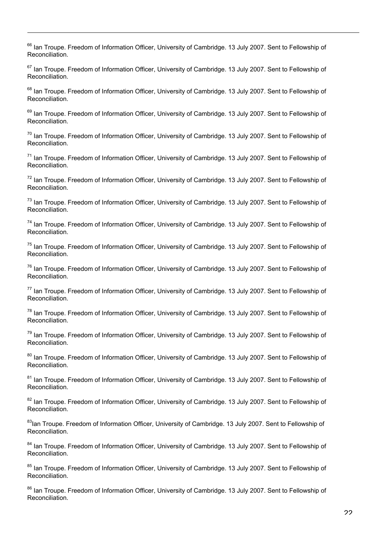<sup>66</sup> Ian Troupe. Freedom of Information Officer, University of Cambridge. 13 July 2007. Sent to Fellowship of Reconciliation.

<sup>67</sup> Ian Troupe. Freedom of Information Officer, University of Cambridge. 13 July 2007. Sent to Fellowship of Reconciliation.

<sup>68</sup> Ian Troupe. Freedom of Information Officer, University of Cambridge. 13 July 2007. Sent to Fellowship of Reconciliation.

<sup>69</sup> Ian Troupe. Freedom of Information Officer, University of Cambridge. 13 July 2007. Sent to Fellowship of Reconciliation.

<sup>70</sup> Ian Troupe. Freedom of Information Officer, University of Cambridge. 13 July 2007. Sent to Fellowship of Reconciliation.

<sup>71</sup> Ian Troupe. Freedom of Information Officer, University of Cambridge. 13 July 2007. Sent to Fellowship of Reconciliation.

<sup>72</sup> Ian Troupe. Freedom of Information Officer, University of Cambridge. 13 July 2007. Sent to Fellowship of Reconciliation.

<sup>73</sup> Ian Troupe. Freedom of Information Officer, University of Cambridge. 13 July 2007. Sent to Fellowship of Reconciliation.

<sup>74</sup> Ian Troupe. Freedom of Information Officer, University of Cambridge. 13 July 2007. Sent to Fellowship of Reconciliation.

<sup>75</sup> Ian Troupe. Freedom of Information Officer, University of Cambridge. 13 July 2007. Sent to Fellowship of Reconciliation.

<sup>76</sup> Ian Troupe. Freedom of Information Officer, University of Cambridge. 13 July 2007. Sent to Fellowship of Reconciliation.

<sup>77</sup> Ian Troupe. Freedom of Information Officer, University of Cambridge. 13 July 2007. Sent to Fellowship of Reconciliation.

<sup>78</sup> Ian Troupe. Freedom of Information Officer, University of Cambridge. 13 July 2007. Sent to Fellowship of Reconciliation.

<sup>79</sup> Ian Troupe. Freedom of Information Officer, University of Cambridge. 13 July 2007. Sent to Fellowship of Reconciliation.

<sup>80</sup> Ian Troupe. Freedom of Information Officer, University of Cambridge. 13 July 2007. Sent to Fellowship of Reconciliation.

<sup>81</sup> Ian Troupe. Freedom of Information Officer, University of Cambridge. 13 July 2007. Sent to Fellowship of Reconciliation.

<sup>82</sup> Ian Troupe. Freedom of Information Officer, University of Cambridge. 13 July 2007. Sent to Fellowship of Reconciliation.

<sup>83</sup>lan Troupe. Freedom of Information Officer, University of Cambridge. 13 July 2007. Sent to Fellowship of Reconciliation.

<sup>84</sup> Ian Troupe. Freedom of Information Officer, University of Cambridge. 13 July 2007. Sent to Fellowship of Reconciliation.

<sup>85</sup> Ian Troupe. Freedom of Information Officer, University of Cambridge. 13 July 2007. Sent to Fellowship of Reconciliation.

<sup>86</sup> Ian Troupe. Freedom of Information Officer, University of Cambridge. 13 July 2007. Sent to Fellowship of Reconciliation.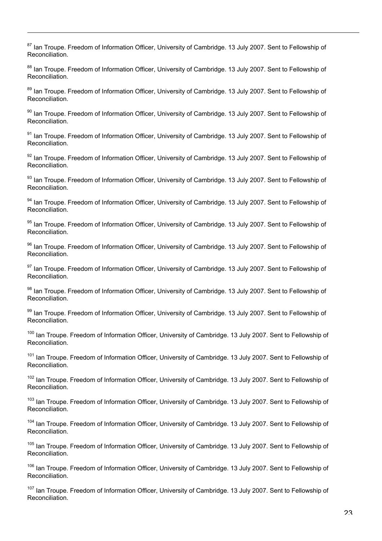<sup>87</sup> Ian Troupe. Freedom of Information Officer, University of Cambridge. 13 July 2007. Sent to Fellowship of Reconciliation.

<sup>88</sup> Ian Troupe. Freedom of Information Officer, University of Cambridge. 13 July 2007. Sent to Fellowship of Reconciliation.

<sup>89</sup> Ian Troupe. Freedom of Information Officer, University of Cambridge. 13 July 2007. Sent to Fellowship of Reconciliation.

<sup>90</sup> Ian Troupe. Freedom of Information Officer, University of Cambridge. 13 July 2007. Sent to Fellowship of Reconciliation.

<sup>91</sup> Ian Troupe. Freedom of Information Officer, University of Cambridge. 13 July 2007. Sent to Fellowship of Reconciliation.

<sup>92</sup> Ian Troupe. Freedom of Information Officer, University of Cambridge. 13 July 2007. Sent to Fellowship of Reconciliation.

<sup>93</sup> Ian Troupe. Freedom of Information Officer, University of Cambridge. 13 July 2007. Sent to Fellowship of Reconciliation.

<sup>94</sup> Ian Troupe. Freedom of Information Officer, University of Cambridge. 13 July 2007. Sent to Fellowship of Reconciliation.

<sup>95</sup> Ian Troupe. Freedom of Information Officer, University of Cambridge. 13 July 2007. Sent to Fellowship of Reconciliation.

<sup>96</sup> Ian Troupe. Freedom of Information Officer, University of Cambridge. 13 July 2007. Sent to Fellowship of Reconciliation.

<sup>97</sup> Ian Troupe. Freedom of Information Officer, University of Cambridge. 13 July 2007. Sent to Fellowship of Reconciliation.

<sup>98</sup> Ian Troupe. Freedom of Information Officer, University of Cambridge. 13 July 2007. Sent to Fellowship of Reconciliation.

<sup>99</sup> Ian Troupe. Freedom of Information Officer, University of Cambridge. 13 July 2007. Sent to Fellowship of Reconciliation.

<sup>100</sup> Ian Troupe. Freedom of Information Officer, University of Cambridge. 13 July 2007. Sent to Fellowship of Reconciliation.

<sup>101</sup> Ian Troupe. Freedom of Information Officer, University of Cambridge. 13 July 2007. Sent to Fellowship of Reconciliation.

<sup>102</sup> Ian Troupe. Freedom of Information Officer, University of Cambridge. 13 July 2007. Sent to Fellowship of Reconciliation.

<sup>103</sup> Ian Troupe. Freedom of Information Officer, University of Cambridge. 13 July 2007. Sent to Fellowship of Reconciliation.

<sup>104</sup> Ian Troupe. Freedom of Information Officer, University of Cambridge. 13 July 2007. Sent to Fellowship of Reconciliation.

<sup>105</sup> Ian Troupe. Freedom of Information Officer, University of Cambridge. 13 July 2007. Sent to Fellowship of Reconciliation.

<sup>106</sup> Ian Troupe. Freedom of Information Officer, University of Cambridge. 13 July 2007. Sent to Fellowship of Reconciliation.

<sup>107</sup> Ian Troupe. Freedom of Information Officer, University of Cambridge. 13 July 2007. Sent to Fellowship of Reconciliation.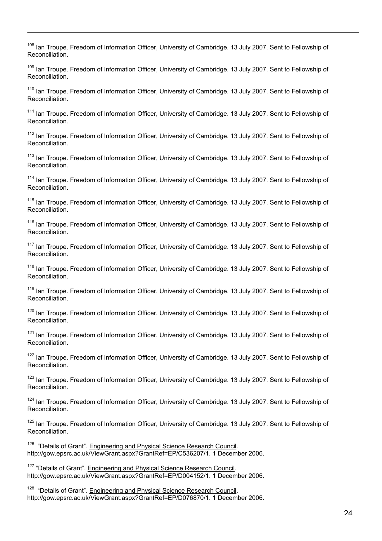<sup>108</sup> Ian Troupe. Freedom of Information Officer, University of Cambridge. 13 July 2007. Sent to Fellowship of Reconciliation.

109 Ian Troupe. Freedom of Information Officer, University of Cambridge. 13 July 2007. Sent to Fellowship of Reconciliation.

<sup>110</sup> Ian Troupe. Freedom of Information Officer, University of Cambridge. 13 July 2007. Sent to Fellowship of Reconciliation.

<sup>111</sup> Ian Troupe. Freedom of Information Officer, University of Cambridge. 13 July 2007. Sent to Fellowship of Reconciliation.

<sup>112</sup> Ian Troupe. Freedom of Information Officer, University of Cambridge. 13 July 2007. Sent to Fellowship of Reconciliation.

<sup>113</sup> Ian Troupe. Freedom of Information Officer, University of Cambridge. 13 July 2007. Sent to Fellowship of Reconciliation.

<sup>114</sup> Ian Troupe. Freedom of Information Officer, University of Cambridge. 13 July 2007. Sent to Fellowship of Reconciliation.

<sup>115</sup> Ian Troupe. Freedom of Information Officer, University of Cambridge. 13 July 2007. Sent to Fellowship of Reconciliation.

<sup>116</sup> Ian Troupe. Freedom of Information Officer, University of Cambridge. 13 July 2007. Sent to Fellowship of Reconciliation.

<sup>117</sup> Ian Troupe. Freedom of Information Officer, University of Cambridge. 13 July 2007. Sent to Fellowship of Reconciliation.

<sup>118</sup> Ian Troupe. Freedom of Information Officer, University of Cambridge. 13 July 2007. Sent to Fellowship of Reconciliation.

<sup>119</sup> Ian Troupe. Freedom of Information Officer, University of Cambridge. 13 July 2007. Sent to Fellowship of Reconciliation.

<sup>120</sup> Ian Troupe. Freedom of Information Officer, University of Cambridge. 13 July 2007. Sent to Fellowship of Reconciliation.

<sup>121</sup> Ian Troupe. Freedom of Information Officer, University of Cambridge. 13 July 2007. Sent to Fellowship of Reconciliation.

<sup>122</sup> Ian Troupe. Freedom of Information Officer, University of Cambridge. 13 July 2007. Sent to Fellowship of Reconciliation.

<sup>123</sup> Ian Troupe. Freedom of Information Officer, University of Cambridge. 13 July 2007. Sent to Fellowship of Reconciliation.

<sup>124</sup> Ian Troupe. Freedom of Information Officer, University of Cambridge. 13 July 2007. Sent to Fellowship of Reconciliation.

<sup>125</sup> Ian Troupe. Freedom of Information Officer, University of Cambridge. 13 July 2007. Sent to Fellowship of Reconciliation.

<sup>126</sup> "Details of Grant". Engineering and Physical Science Research Council. http://gow.epsrc.ac.uk/ViewGrant.aspx?GrantRef=EP/C536207/1. 1 December 2006.

<sup>127</sup> "Details of Grant". Engineering and Physical Science Research Council. http://gow.epsrc.ac.uk/ViewGrant.aspx?GrantRef=EP/D004152/1. 1 December 2006.

<sup>128</sup> "Details of Grant". Engineering and Physical Science Research Council. http://gow.epsrc.ac.uk/ViewGrant.aspx?GrantRef=EP/D076870/1. 1 December 2006.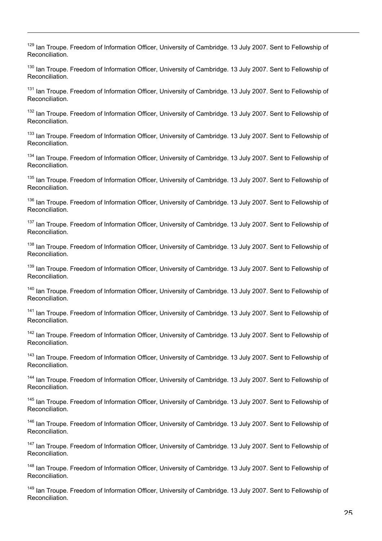<sup>129</sup> Ian Troupe. Freedom of Information Officer, University of Cambridge. 13 July 2007. Sent to Fellowship of Reconciliation.

<sup>130</sup> Ian Troupe. Freedom of Information Officer, University of Cambridge. 13 July 2007. Sent to Fellowship of Reconciliation.

<sup>131</sup> Ian Troupe. Freedom of Information Officer, University of Cambridge. 13 July 2007. Sent to Fellowship of Reconciliation.

<sup>132</sup> Ian Troupe. Freedom of Information Officer, University of Cambridge. 13 July 2007. Sent to Fellowship of Reconciliation.

<sup>133</sup> Ian Troupe. Freedom of Information Officer, University of Cambridge. 13 July 2007. Sent to Fellowship of Reconciliation.

<sup>134</sup> Ian Troupe. Freedom of Information Officer, University of Cambridge. 13 July 2007. Sent to Fellowship of Reconciliation.

<sup>135</sup> Ian Troupe. Freedom of Information Officer, University of Cambridge. 13 July 2007. Sent to Fellowship of Reconciliation.

<sup>136</sup> Ian Troupe. Freedom of Information Officer, University of Cambridge. 13 July 2007. Sent to Fellowship of Reconciliation.

<sup>137</sup> Ian Troupe. Freedom of Information Officer, University of Cambridge. 13 July 2007. Sent to Fellowship of Reconciliation.

<sup>138</sup> Ian Troupe. Freedom of Information Officer, University of Cambridge. 13 July 2007. Sent to Fellowship of Reconciliation.

<sup>139</sup> Ian Troupe. Freedom of Information Officer, University of Cambridge. 13 July 2007. Sent to Fellowship of Reconciliation.

<sup>140</sup> Ian Troupe. Freedom of Information Officer, University of Cambridge. 13 July 2007. Sent to Fellowship of Reconciliation.

<sup>141</sup> Ian Troupe. Freedom of Information Officer, University of Cambridge. 13 July 2007. Sent to Fellowship of Reconciliation.

<sup>142</sup> Ian Troupe. Freedom of Information Officer, University of Cambridge. 13 July 2007. Sent to Fellowship of Reconciliation.

<sup>143</sup> Ian Troupe. Freedom of Information Officer, University of Cambridge. 13 July 2007. Sent to Fellowship of Reconciliation.

<sup>144</sup> Ian Troupe. Freedom of Information Officer, University of Cambridge. 13 July 2007. Sent to Fellowship of Reconciliation.

<sup>145</sup> Ian Troupe. Freedom of Information Officer, University of Cambridge. 13 July 2007. Sent to Fellowship of Reconciliation.

<sup>146</sup> Ian Troupe. Freedom of Information Officer, University of Cambridge. 13 July 2007. Sent to Fellowship of Reconciliation.

<sup>147</sup> Ian Troupe. Freedom of Information Officer, University of Cambridge. 13 July 2007. Sent to Fellowship of Reconciliation.

<sup>148</sup> Ian Troupe. Freedom of Information Officer, University of Cambridge. 13 July 2007. Sent to Fellowship of Reconciliation.

<sup>149</sup> Ian Troupe. Freedom of Information Officer, University of Cambridge. 13 July 2007. Sent to Fellowship of Reconciliation.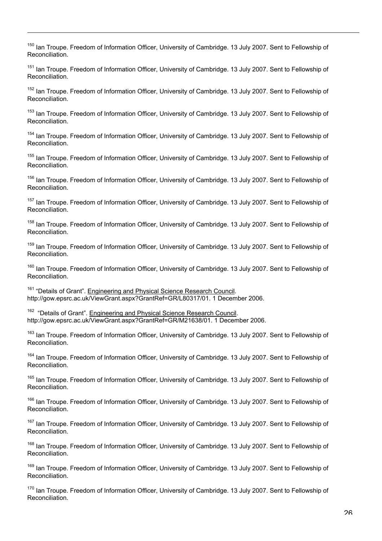<sup>150</sup> Ian Troupe. Freedom of Information Officer, University of Cambridge. 13 July 2007. Sent to Fellowship of Reconciliation.

<sup>151</sup> Ian Troupe. Freedom of Information Officer, University of Cambridge. 13 July 2007. Sent to Fellowship of Reconciliation.

<sup>152</sup> Ian Troupe. Freedom of Information Officer, University of Cambridge. 13 July 2007. Sent to Fellowship of Reconciliation.

<sup>153</sup> Ian Troupe. Freedom of Information Officer, University of Cambridge. 13 July 2007. Sent to Fellowship of Reconciliation.

<sup>154</sup> Ian Troupe. Freedom of Information Officer, University of Cambridge. 13 July 2007. Sent to Fellowship of Reconciliation.

<sup>155</sup> Ian Troupe. Freedom of Information Officer, University of Cambridge. 13 July 2007. Sent to Fellowship of Reconciliation.

<sup>156</sup> Ian Troupe. Freedom of Information Officer, University of Cambridge. 13 July 2007. Sent to Fellowship of Reconciliation.

<sup>157</sup> Ian Troupe. Freedom of Information Officer, University of Cambridge. 13 July 2007. Sent to Fellowship of Reconciliation.

<sup>158</sup> Ian Troupe. Freedom of Information Officer, University of Cambridge. 13 July 2007. Sent to Fellowship of Reconciliation.

<sup>159</sup> Ian Troupe. Freedom of Information Officer, University of Cambridge. 13 July 2007. Sent to Fellowship of Reconciliation.

<sup>160</sup> Ian Troupe. Freedom of Information Officer, University of Cambridge. 13 July 2007. Sent to Fellowship of Reconciliation.

<sup>161</sup> "Details of Grant". Engineering and Physical Science Research Council. http://gow.epsrc.ac.uk/ViewGrant.aspx?GrantRef=GR/L80317/01. 1 December 2006.

<sup>162</sup> "Details of Grant". Engineering and Physical Science Research Council. http://gow.epsrc.ac.uk/ViewGrant.aspx?GrantRef=GR/M21638/01. 1 December 2006.

<sup>163</sup> Ian Troupe. Freedom of Information Officer, University of Cambridge. 13 July 2007. Sent to Fellowship of Reconciliation.

<sup>164</sup> Ian Troupe. Freedom of Information Officer, University of Cambridge. 13 July 2007. Sent to Fellowship of Reconciliation.

<sup>165</sup> Ian Troupe. Freedom of Information Officer, University of Cambridge. 13 July 2007. Sent to Fellowship of Reconciliation.

<sup>166</sup> Ian Troupe. Freedom of Information Officer, University of Cambridge. 13 July 2007. Sent to Fellowship of Reconciliation.

<sup>167</sup> Ian Troupe. Freedom of Information Officer, University of Cambridge. 13 July 2007. Sent to Fellowship of Reconciliation.

<sup>168</sup> Ian Troupe. Freedom of Information Officer, University of Cambridge. 13 July 2007. Sent to Fellowship of Reconciliation.

<sup>169</sup> Ian Troupe. Freedom of Information Officer, University of Cambridge. 13 July 2007. Sent to Fellowship of Reconciliation.

<sup>170</sup> Ian Troupe. Freedom of Information Officer, University of Cambridge. 13 July 2007. Sent to Fellowship of Reconciliation.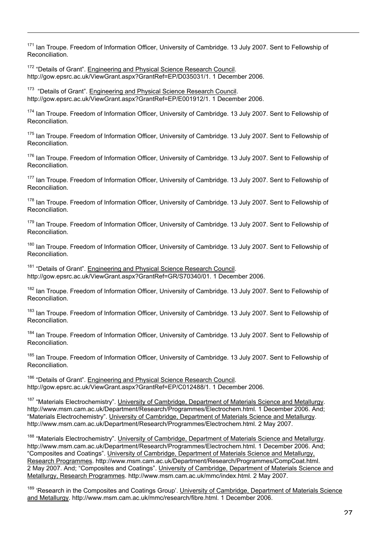<sup>171</sup> Ian Troupe. Freedom of Information Officer, University of Cambridge. 13 July 2007. Sent to Fellowship of Reconciliation.

<sup>172</sup> "Details of Grant". Engineering and Physical Science Research Council. http://gow.epsrc.ac.uk/ViewGrant.aspx?GrantRef=EP/D035031/1. 1 December 2006.

<sup>173</sup> "Details of Grant". Engineering and Physical Science Research Council. http://gow.epsrc.ac.uk/ViewGrant.aspx?GrantRef=EP/E001912/1. 1 December 2006.

174 Ian Troupe. Freedom of Information Officer, University of Cambridge. 13 July 2007. Sent to Fellowship of Reconciliation.

<sup>175</sup> Ian Troupe. Freedom of Information Officer, University of Cambridge. 13 July 2007. Sent to Fellowship of Reconciliation.

<sup>176</sup> Ian Troupe. Freedom of Information Officer, University of Cambridge. 13 July 2007. Sent to Fellowship of Reconciliation.

<sup>177</sup> Ian Troupe. Freedom of Information Officer, University of Cambridge. 13 July 2007. Sent to Fellowship of Reconciliation.

<sup>178</sup> Ian Troupe. Freedom of Information Officer, University of Cambridge. 13 July 2007. Sent to Fellowship of Reconciliation.

<sup>179</sup> Ian Troupe. Freedom of Information Officer, University of Cambridge. 13 July 2007. Sent to Fellowship of Reconciliation.

<sup>180</sup> Ian Troupe. Freedom of Information Officer, University of Cambridge. 13 July 2007. Sent to Fellowship of Reconciliation.

<sup>181</sup> "Details of Grant". Engineering and Physical Science Research Council. http://gow.epsrc.ac.uk/ViewGrant.aspx?GrantRef=GR/S70340/01. 1 December 2006.

<sup>182</sup> Ian Troupe. Freedom of Information Officer, University of Cambridge. 13 July 2007. Sent to Fellowship of Reconciliation.

<sup>183</sup> Ian Troupe. Freedom of Information Officer, University of Cambridge. 13 July 2007. Sent to Fellowship of Reconciliation.

<sup>184</sup> Ian Troupe. Freedom of Information Officer, University of Cambridge. 13 July 2007. Sent to Fellowship of Reconciliation.

<sup>185</sup> Ian Troupe. Freedom of Information Officer, University of Cambridge. 13 July 2007. Sent to Fellowship of Reconciliation.

<sup>186</sup> "Details of Grant". Engineering and Physical Science Research Council. http://gow.epsrc.ac.uk/ViewGrant.aspx?GrantRef=EP/C012488/1. 1 December 2006.

<sup>187</sup> "Materials Electrochemistry". University of Cambridge, Department of Materials Science and Metallurgy. http://www.msm.cam.ac.uk/Department/Research/Programmes/Electrochem.html. 1 December 2006. And; "Materials Electrochemistry". University of Cambridge, Department of Materials Science and Metallurgy. http://www.msm.cam.ac.uk/Department/Research/Programmes/Electrochem.html. 2 May 2007.

<sup>188</sup> "Materials Electrochemistry". University of Cambridge, Department of Materials Science and Metallurgy. http://www.msm.cam.ac.uk/Department/Research/Programmes/Electrochem.html. 1 December 2006. And; "Composites and Coatings". University of Cambridge, Department of Materials Science and Metallurgy, Research Programmes. http://www.msm.cam.ac.uk/Department/Research/Programmes/CompCoat.html. 2 May 2007. And; "Composites and Coatings". University of Cambridge, Department of Materials Science and Metallurgy, Research Programmes. http://www.msm.cam.ac.uk/mmc/index.html. 2 May 2007.

<sup>189</sup> 'Research in the Composites and Coatings Group'. University of Cambridge, Department of Materials Science and Metallurgy. http://www.msm.cam.ac.uk/mmc/research/fibre.html. 1 December 2006.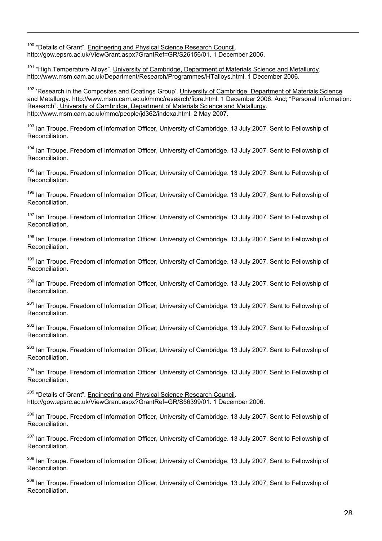<sup>190</sup> "Details of Grant". Engineering and Physical Science Research Council. http://gow.epsrc.ac.uk/ViewGrant.aspx?GrantRef=GR/S26156/01. 1 December 2006.

<sup>191</sup> "High Temperature Alloys". University of Cambridge, Department of Materials Science and Metallurgy. http://www.msm.cam.ac.uk/Department/Research/Programmes/HTalloys.html. 1 December 2006.

<sup>192</sup> 'Research in the Composites and Coatings Group'. University of Cambridge, Department of Materials Science and Metallurgy. http://www.msm.cam.ac.uk/mmc/research/fibre.html. 1 December 2006. And; "Personal Information: Research". University of Cambridge, Department of Materials Science and Metallurgy. http://www.msm.cam.ac.uk/mmc/people/jd362/indexa.html. 2 May 2007.

<sup>193</sup> Ian Troupe. Freedom of Information Officer, University of Cambridge. 13 July 2007. Sent to Fellowship of Reconciliation.

<sup>194</sup> Ian Troupe. Freedom of Information Officer, University of Cambridge. 13 July 2007. Sent to Fellowship of Reconciliation.

<sup>195</sup> Ian Troupe. Freedom of Information Officer, University of Cambridge. 13 July 2007. Sent to Fellowship of Reconciliation.

<sup>196</sup> Ian Troupe. Freedom of Information Officer, University of Cambridge. 13 July 2007. Sent to Fellowship of Reconciliation.

<sup>197</sup> Ian Troupe. Freedom of Information Officer, University of Cambridge. 13 July 2007. Sent to Fellowship of Reconciliation.

<sup>198</sup> Ian Troupe. Freedom of Information Officer, University of Cambridge. 13 July 2007. Sent to Fellowship of Reconciliation.

<sup>199</sup> Ian Troupe. Freedom of Information Officer, University of Cambridge. 13 July 2007. Sent to Fellowship of Reconciliation.

<sup>200</sup> Ian Troupe. Freedom of Information Officer, University of Cambridge. 13 July 2007. Sent to Fellowship of Reconciliation.

<sup>201</sup> Ian Troupe. Freedom of Information Officer, University of Cambridge. 13 July 2007. Sent to Fellowship of Reconciliation.

<sup>202</sup> Ian Troupe. Freedom of Information Officer, University of Cambridge. 13 July 2007. Sent to Fellowship of Reconciliation.

<sup>203</sup> Ian Troupe. Freedom of Information Officer, University of Cambridge. 13 July 2007. Sent to Fellowship of Reconciliation.

<sup>204</sup> Ian Troupe. Freedom of Information Officer, University of Cambridge. 13 July 2007. Sent to Fellowship of Reconciliation.

<sup>205</sup> "Details of Grant". Engineering and Physical Science Research Council. http://gow.epsrc.ac.uk/ViewGrant.aspx?GrantRef=GR/S56399/01. 1 December 2006.

<sup>206</sup> Ian Troupe. Freedom of Information Officer, University of Cambridge. 13 July 2007. Sent to Fellowship of Reconciliation.

<sup>207</sup> Ian Troupe. Freedom of Information Officer, University of Cambridge. 13 July 2007. Sent to Fellowship of Reconciliation.

<sup>208</sup> Ian Troupe. Freedom of Information Officer, University of Cambridge. 13 July 2007. Sent to Fellowship of Reconciliation.

<sup>209</sup> Ian Troupe. Freedom of Information Officer, University of Cambridge. 13 July 2007. Sent to Fellowship of Reconciliation.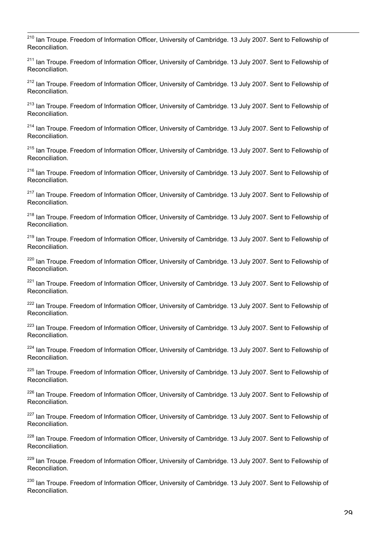210 Ian Troupe. Freedom of Information Officer, University of Cambridge. 13 July 2007. Sent to Fellowship of Reconciliation.

<sup>211</sup> Ian Troupe. Freedom of Information Officer, University of Cambridge. 13 July 2007. Sent to Fellowship of Reconciliation.

<sup>212</sup> Ian Troupe. Freedom of Information Officer, University of Cambridge. 13 July 2007. Sent to Fellowship of Reconciliation.

<sup>213</sup> Ian Troupe. Freedom of Information Officer, University of Cambridge. 13 July 2007. Sent to Fellowship of Reconciliation.

<sup>214</sup> Ian Troupe. Freedom of Information Officer, University of Cambridge. 13 July 2007. Sent to Fellowship of Reconciliation.

<sup>215</sup> Ian Troupe. Freedom of Information Officer, University of Cambridge. 13 July 2007. Sent to Fellowship of Reconciliation.

<sup>216</sup> Ian Troupe. Freedom of Information Officer, University of Cambridge. 13 July 2007. Sent to Fellowship of Reconciliation.

<sup>217</sup> Ian Troupe. Freedom of Information Officer, University of Cambridge. 13 July 2007. Sent to Fellowship of Reconciliation.

<sup>218</sup> Ian Troupe. Freedom of Information Officer, University of Cambridge. 13 July 2007. Sent to Fellowship of Reconciliation.

<sup>219</sup> Ian Troupe. Freedom of Information Officer, University of Cambridge. 13 July 2007. Sent to Fellowship of Reconciliation.

<sup>220</sup> Ian Troupe. Freedom of Information Officer, University of Cambridge. 13 July 2007. Sent to Fellowship of Reconciliation.

<sup>221</sup> Ian Troupe. Freedom of Information Officer, University of Cambridge. 13 July 2007. Sent to Fellowship of Reconciliation.

<sup>222</sup> Ian Troupe. Freedom of Information Officer, University of Cambridge. 13 July 2007. Sent to Fellowship of Reconciliation.

<sup>223</sup> Ian Troupe. Freedom of Information Officer, University of Cambridge. 13 July 2007. Sent to Fellowship of Reconciliation.

<sup>224</sup> Ian Troupe. Freedom of Information Officer, University of Cambridge. 13 July 2007. Sent to Fellowship of Reconciliation.

<sup>225</sup> Ian Troupe. Freedom of Information Officer, University of Cambridge. 13 July 2007. Sent to Fellowship of Reconciliation.

<sup>226</sup> Ian Troupe. Freedom of Information Officer, University of Cambridge. 13 July 2007. Sent to Fellowship of Reconciliation.

<sup>227</sup> Ian Troupe. Freedom of Information Officer, University of Cambridge. 13 July 2007. Sent to Fellowship of Reconciliation.

<sup>228</sup> Ian Troupe. Freedom of Information Officer, University of Cambridge. 13 July 2007. Sent to Fellowship of Reconciliation.

<sup>229</sup> Ian Troupe. Freedom of Information Officer, University of Cambridge. 13 July 2007. Sent to Fellowship of Reconciliation.

<sup>230</sup> Ian Troupe. Freedom of Information Officer, University of Cambridge. 13 July 2007. Sent to Fellowship of Reconciliation.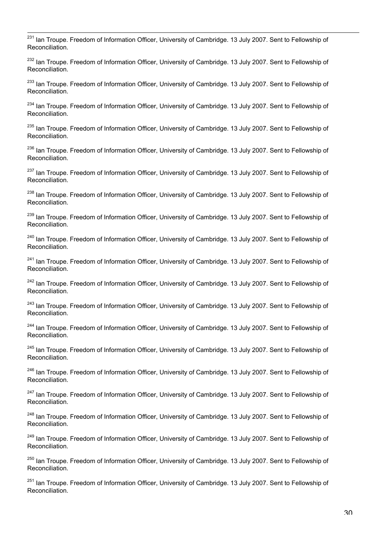$\overline{1}$ <sup>231</sup> Ian Troupe. Freedom of Information Officer, University of Cambridge. 13 July 2007. Sent to Fellowship of Reconciliation.

<sup>232</sup> Ian Troupe. Freedom of Information Officer, University of Cambridge. 13 July 2007. Sent to Fellowship of Reconciliation.

<sup>233</sup> Ian Troupe. Freedom of Information Officer, University of Cambridge. 13 July 2007. Sent to Fellowship of Reconciliation.

<sup>234</sup> Ian Troupe. Freedom of Information Officer, University of Cambridge. 13 July 2007. Sent to Fellowship of Reconciliation.

<sup>235</sup> Ian Troupe. Freedom of Information Officer, University of Cambridge. 13 July 2007. Sent to Fellowship of Reconciliation.

<sup>236</sup> Ian Troupe. Freedom of Information Officer, University of Cambridge. 13 July 2007. Sent to Fellowship of Reconciliation.

<sup>237</sup> Ian Troupe. Freedom of Information Officer, University of Cambridge. 13 July 2007. Sent to Fellowship of Reconciliation.

<sup>238</sup> Ian Troupe. Freedom of Information Officer, University of Cambridge. 13 July 2007. Sent to Fellowship of Reconciliation.

<sup>239</sup> Ian Troupe. Freedom of Information Officer, University of Cambridge. 13 July 2007. Sent to Fellowship of Reconciliation.

<sup>240</sup> Ian Troupe. Freedom of Information Officer, University of Cambridge. 13 July 2007. Sent to Fellowship of Reconciliation.

<sup>241</sup> Ian Troupe. Freedom of Information Officer, University of Cambridge. 13 July 2007. Sent to Fellowship of Reconciliation.

<sup>242</sup> Ian Troupe. Freedom of Information Officer, University of Cambridge. 13 July 2007. Sent to Fellowship of Reconciliation.

<sup>243</sup> Ian Troupe. Freedom of Information Officer, University of Cambridge. 13 July 2007. Sent to Fellowship of Reconciliation.

<sup>244</sup> Ian Troupe. Freedom of Information Officer, University of Cambridge. 13 July 2007. Sent to Fellowship of Reconciliation.

<sup>245</sup> Ian Troupe. Freedom of Information Officer, University of Cambridge. 13 July 2007. Sent to Fellowship of Reconciliation.

<sup>246</sup> Ian Troupe. Freedom of Information Officer, University of Cambridge. 13 July 2007. Sent to Fellowship of Reconciliation.

<sup>247</sup> Ian Troupe. Freedom of Information Officer, University of Cambridge. 13 July 2007. Sent to Fellowship of Reconciliation.

<sup>248</sup> Ian Troupe. Freedom of Information Officer, University of Cambridge. 13 July 2007. Sent to Fellowship of Reconciliation.

<sup>249</sup> Ian Troupe. Freedom of Information Officer, University of Cambridge. 13 July 2007. Sent to Fellowship of Reconciliation.

<sup>250</sup> Ian Troupe. Freedom of Information Officer, University of Cambridge. 13 July 2007. Sent to Fellowship of Reconciliation.

<sup>251</sup> Ian Troupe. Freedom of Information Officer, University of Cambridge. 13 July 2007. Sent to Fellowship of Reconciliation.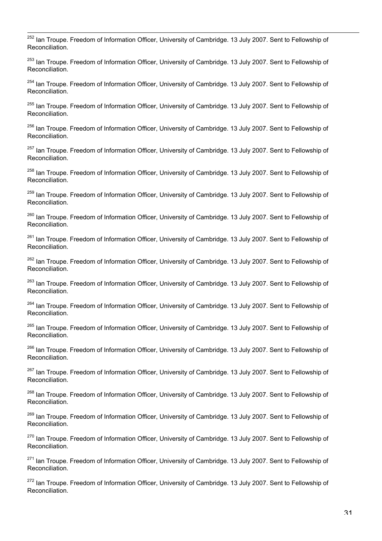$\overline{1}$ <sup>252</sup> Ian Troupe. Freedom of Information Officer, University of Cambridge. 13 July 2007. Sent to Fellowship of Reconciliation.

<sup>253</sup> Ian Troupe. Freedom of Information Officer, University of Cambridge. 13 July 2007. Sent to Fellowship of Reconciliation.

<sup>254</sup> Ian Troupe. Freedom of Information Officer, University of Cambridge. 13 July 2007. Sent to Fellowship of Reconciliation.

<sup>255</sup> Ian Troupe. Freedom of Information Officer, University of Cambridge. 13 July 2007. Sent to Fellowship of Reconciliation.

<sup>256</sup> Ian Troupe. Freedom of Information Officer, University of Cambridge. 13 July 2007. Sent to Fellowship of Reconciliation.

<sup>257</sup> Ian Troupe. Freedom of Information Officer, University of Cambridge. 13 July 2007. Sent to Fellowship of Reconciliation.

<sup>258</sup> Ian Troupe. Freedom of Information Officer, University of Cambridge. 13 July 2007. Sent to Fellowship of Reconciliation.

<sup>259</sup> Ian Troupe. Freedom of Information Officer, University of Cambridge. 13 July 2007. Sent to Fellowship of Reconciliation.

<sup>260</sup> Ian Troupe. Freedom of Information Officer, University of Cambridge. 13 July 2007. Sent to Fellowship of Reconciliation.

<sup>261</sup> Ian Troupe. Freedom of Information Officer, University of Cambridge. 13 July 2007. Sent to Fellowship of Reconciliation.

<sup>262</sup> Ian Troupe. Freedom of Information Officer, University of Cambridge. 13 July 2007. Sent to Fellowship of Reconciliation.

<sup>263</sup> Ian Troupe. Freedom of Information Officer, University of Cambridge. 13 July 2007. Sent to Fellowship of Reconciliation.

<sup>264</sup> Ian Troupe. Freedom of Information Officer, University of Cambridge. 13 July 2007. Sent to Fellowship of Reconciliation.

<sup>265</sup> Ian Troupe. Freedom of Information Officer, University of Cambridge. 13 July 2007. Sent to Fellowship of Reconciliation.

<sup>266</sup> Ian Troupe. Freedom of Information Officer, University of Cambridge. 13 July 2007. Sent to Fellowship of Reconciliation.

<sup>267</sup> Ian Troupe. Freedom of Information Officer, University of Cambridge. 13 July 2007. Sent to Fellowship of Reconciliation.

<sup>268</sup> Ian Troupe. Freedom of Information Officer, University of Cambridge. 13 July 2007. Sent to Fellowship of Reconciliation.

<sup>269</sup> Ian Troupe. Freedom of Information Officer, University of Cambridge. 13 July 2007. Sent to Fellowship of Reconciliation.

<sup>270</sup> Ian Troupe. Freedom of Information Officer, University of Cambridge. 13 July 2007. Sent to Fellowship of Reconciliation.

<sup>271</sup> Ian Troupe. Freedom of Information Officer, University of Cambridge. 13 July 2007. Sent to Fellowship of Reconciliation.

<sup>272</sup> Ian Troupe. Freedom of Information Officer, University of Cambridge. 13 July 2007. Sent to Fellowship of Reconciliation.